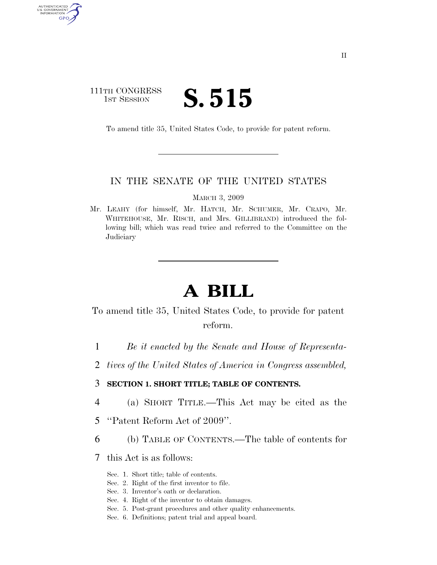# 111TH CONGRESS TH CONGRESS **S.515**

AUTHENTICATED U.S. GOVERNMENT GPO

To amend title 35, United States Code, to provide for patent reform.

### IN THE SENATE OF THE UNITED STATES

MARCH 3, 2009

Mr. LEAHY (for himself, Mr. HATCH, Mr. SCHUMER, Mr. CRAPO, Mr. WHITEHOUSE, Mr. RISCH, and Mrs. GILLIBRAND) introduced the following bill; which was read twice and referred to the Committee on the **Judiciary** 

# **A BILL**

To amend title 35, United States Code, to provide for patent reform.

- 1 *Be it enacted by the Senate and House of Representa-*
- 2 *tives of the United States of America in Congress assembled,*
- 3 **SECTION 1. SHORT TITLE; TABLE OF CONTENTS.**
- 4 (a) SHORT TITLE.—This Act may be cited as the
- 5 ''Patent Reform Act of 2009''.
- 6 (b) TABLE OF CONTENTS.—The table of contents for
- 7 this Act is as follows:
	- Sec. 1. Short title; table of contents.
	- Sec. 2. Right of the first inventor to file.
	- Sec. 3. Inventor's oath or declaration.
	- Sec. 4. Right of the inventor to obtain damages.
	- Sec. 5. Post-grant procedures and other quality enhancements.
	- Sec. 6. Definitions; patent trial and appeal board.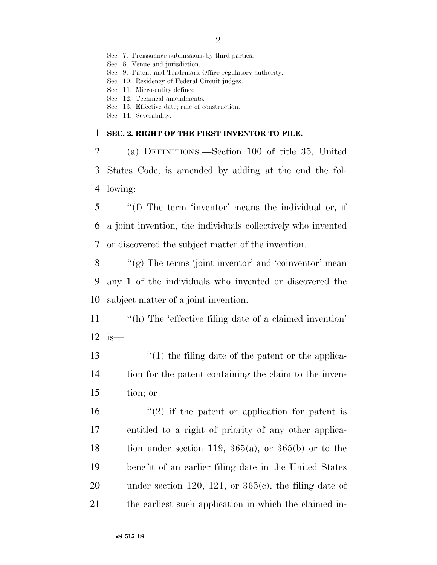Sec. 7. Preissuance submissions by third parties.

Sec. 8. Venue and jurisdiction.

Sec. 9. Patent and Trademark Office regulatory authority.

Sec. 10. Residency of Federal Circuit judges.

Sec. 11. Micro-entity defined.

- Sec. 12. Technical amendments.
- Sec. 13. Effective date; rule of construction.
- Sec. 14. Severability.

#### 1 **SEC. 2. RIGHT OF THE FIRST INVENTOR TO FILE.**

2 (a) DEFINITIONS.—Section 100 of title 35, United 3 States Code, is amended by adding at the end the fol-4 lowing:

5 ''(f) The term 'inventor' means the individual or, if 6 a joint invention, the individuals collectively who invented 7 or discovered the subject matter of the invention.

 $8$  ''(g) The terms 'joint inventor' and 'coinventor' mean 9 any 1 of the individuals who invented or discovered the 10 subject matter of a joint invention.

11 "(h) The 'effective filing date of a claimed invention' 12 is—

13 ''(1) the filing date of the patent or the applica-14 tion for the patent containing the claim to the inven-15 tion; or

 $(2)$  if the patent or application for patent is entitled to a right of priority of any other applica-18 tion under section 119,  $365(a)$ , or  $365(b)$  or to the benefit of an earlier filing date in the United States 20 under section 120, 121, or  $365(c)$ , the filing date of the earliest such application in which the claimed in-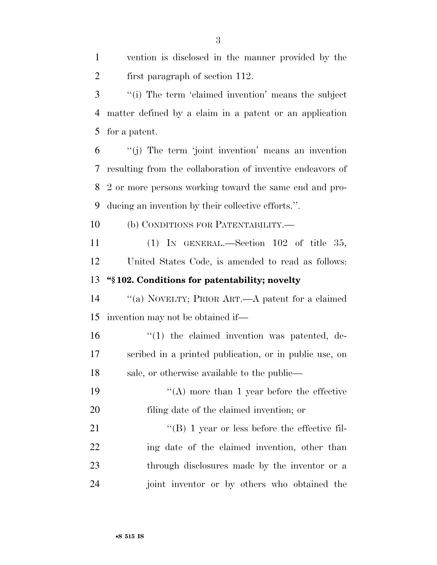| $\overline{2}$ | first paragraph of section 112.                            |
|----------------|------------------------------------------------------------|
| 3              | "(i) The term 'claimed invention' means the subject        |
| $\overline{4}$ | matter defined by a claim in a patent or an application    |
| 5              | for a patent.                                              |
| 6              | "(j) The term 'joint invention' means an invention         |
| 7              | resulting from the collaboration of inventive endeavors of |
| 8              | 2 or more persons working toward the same end and pro-     |
| 9              | ducing an invention by their collective efforts.".         |
| 10             | (b) CONDITIONS FOR PATENTABILITY.—                         |
| 11             | (1) IN GENERAL.—Section $102$ of title 35,                 |
| 12             | United States Code, is amended to read as follows:         |
| 13             | "§102. Conditions for patentability; novelty               |
| 14             | "(a) NOVELTY; PRIOR ART.—A patent for a claimed            |
| 15             | invention may not be obtained if—                          |
| 16             | $\lq(1)$ the claimed invention was patented, de-           |
| 17             | scribed in a printed publication, or in public use, on     |
| 18             | sale, or otherwise available to the public—                |
| 19             | $\lq\lq$ (A) more than 1 year before the effective         |
| 20             | filing date of the claimed invention; or                   |
| 21             | $\lq\lq (B)$ 1 year or less before the effective fil-      |
| 22             | ing date of the claimed invention, other than              |
| 23             | through disclosures made by the inventor or a              |
| 24             | joint inventor or by others who obtained the               |

vention is disclosed in the manner provided by the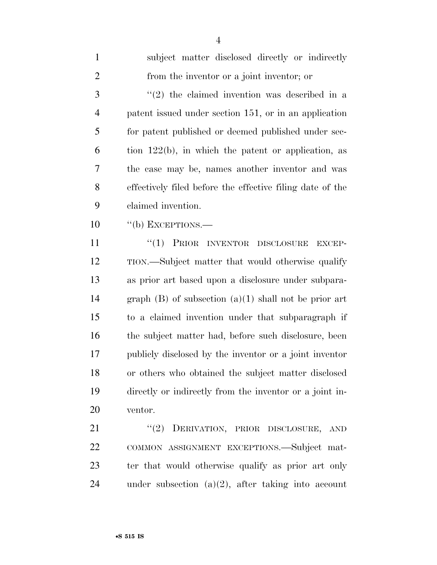| $\mathbf{1}$   | subject matter disclosed directly or indirectly           |
|----------------|-----------------------------------------------------------|
| $\overline{2}$ | from the inventor or a joint inventor; or                 |
| 3              | $(2)$ the claimed invention was described in a            |
| $\overline{4}$ | patent issued under section 151, or in an application     |
| 5              | for patent published or deemed published under sec-       |
| 6              | tion $122(b)$ , in which the patent or application, as    |
| 7              | the case may be, names another inventor and was           |
| 8              | effectively filed before the effective filing date of the |
| 9              | claimed invention.                                        |
| 10             | $\lq\lq(b)$ EXCEPTIONS.—                                  |
| 11             | "(1) PRIOR INVENTOR DISCLOSURE<br><b>EXCEP-</b>           |
| 12             | TION.—Subject matter that would otherwise qualify         |
| 13             | as prior art based upon a disclosure under subpara-       |
| 14             | graph $(B)$ of subsection $(a)(1)$ shall not be prior art |
| 15             | to a claimed invention under that subparagraph if         |
| 16             | the subject matter had, before such disclosure, been      |
| 17             | publicly disclosed by the inventor or a joint inventor    |
| 18             | or others who obtained the subject matter disclosed       |
| 19             | directly or indirectly from the inventor or a joint in-   |
| 20             | ventor.                                                   |
| 21             | "(2) DERIVATION, PRIOR DISCLOSURE, AND                    |
| 22             | COMMON ASSIGNMENT EXCEPTIONS.-Subject mat-                |
| 23             | ter that would otherwise qualify as prior art only        |
| 24             | under subsection $(a)(2)$ , after taking into account     |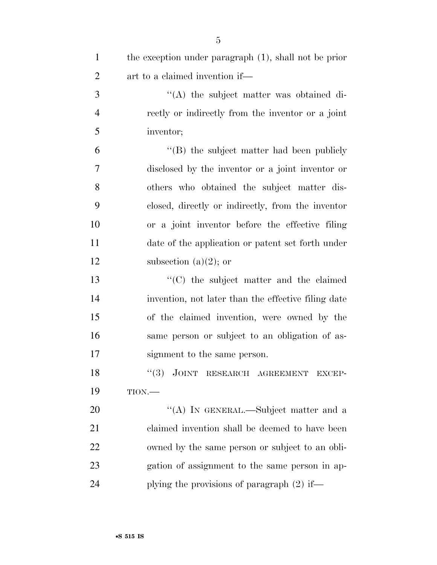| $\mathbf{1}$   | the exception under paragraph (1), shall not be prior |
|----------------|-------------------------------------------------------|
| $\overline{2}$ | art to a claimed invention if—                        |
| 3              | "(A) the subject matter was obtained di-              |
| $\overline{4}$ | rectly or indirectly from the inventor or a joint     |
| 5              | inventor;                                             |
| 6              | $\lq\lq$ the subject matter had been publicly         |
| 7              | disclosed by the inventor or a joint inventor or      |
| 8              | others who obtained the subject matter dis-           |
| 9              | closed, directly or indirectly, from the inventor     |
| 10             | or a joint inventor before the effective filing       |
| 11             | date of the application or patent set forth under     |
| 12             | subsection $(a)(2)$ ; or                              |
| 13             | $\cdot$ (C) the subject matter and the claimed        |
| 14             | invention, not later than the effective filing date   |
| 15             | of the claimed invention, were owned by the           |
| 16             | same person or subject to an obligation of as-        |
| 17             | signment to the same person.                          |
| 18             | "(3) JOINT RESEARCH AGREEMENT<br><b>EXCEP-</b>        |
| 19             | TION.                                                 |
| 20             | "(A) IN GENERAL.—Subject matter and a                 |
| 21             | claimed invention shall be deemed to have been        |
| 22             | owned by the same person or subject to an obli-       |
| 23             | gation of assignment to the same person in ap-        |
| 24             | plying the provisions of paragraph $(2)$ if—          |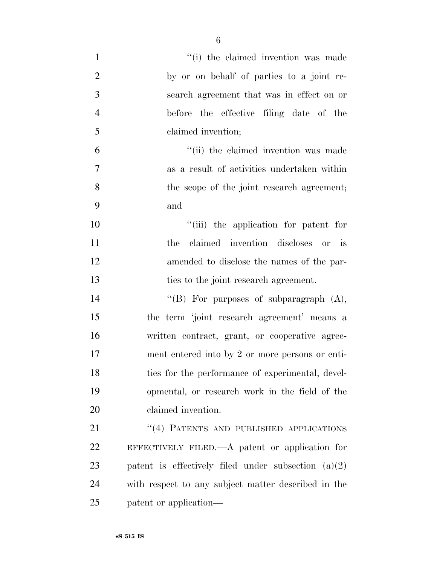| $\mathbf{1}$   | "(i) the claimed invention was made                   |
|----------------|-------------------------------------------------------|
| $\overline{2}$ | by or on behalf of parties to a joint re-             |
| 3              | search agreement that was in effect on or             |
| $\overline{4}$ | before the effective filing date of the               |
| 5              | claimed invention;                                    |
| 6              | "(ii) the claimed invention was made                  |
| $\tau$         | as a result of activities undertaken within           |
| 8              | the scope of the joint research agreement;            |
| 9              | and                                                   |
| 10             | "(iii) the application for patent for                 |
| 11             | claimed invention discloses or is<br>the              |
| 12             | amended to disclose the names of the par-             |
| 13             | ties to the joint research agreement.                 |
| 14             | "(B) For purposes of subparagraph $(A)$ ,             |
| 15             | the term 'joint research agreement' means a           |
| 16             | written contract, grant, or cooperative agree-        |
| 17             | ment entered into by 2 or more persons or enti-       |
| 18             | ties for the performance of experimental, devel-      |
| 19             | opmental, or research work in the field of the        |
| 20             | claimed invention.                                    |
| 21             | "(4) PATENTS AND PUBLISHED APPLICATIONS               |
| 22             | EFFECTIVELY FILED.— $A$ patent or application for     |
| 23             | patent is effectively filed under subsection $(a)(2)$ |
| 24             | with respect to any subject matter described in the   |
| 25             | patent or application—                                |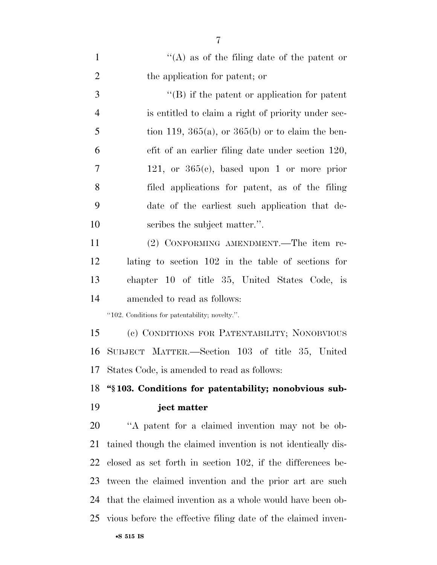| $\mathbf{1}$   | "(A) as of the filing date of the patent or                  |
|----------------|--------------------------------------------------------------|
| $\overline{2}$ | the application for patent; or                               |
| 3              | $\lq\lq$ ) if the patent or application for patent           |
| $\overline{4}$ | is entitled to claim a right of priority under sec-          |
| 5              | tion 119, 365(a), or 365(b) or to claim the ben-             |
| 6              | efit of an earlier filing date under section 120,            |
| $\overline{7}$ | 121, or $365(c)$ , based upon 1 or more prior                |
| 8              | filed applications for patent, as of the filing              |
| 9              | date of the earliest such application that de-               |
| 10             | scribes the subject matter.".                                |
| 11             | (2) CONFORMING AMENDMENT.—The item re-                       |
| 12             | lating to section 102 in the table of sections for           |
| 13             | chapter 10 of title 35, United States Code, is               |
| 14             | amended to read as follows:                                  |
|                | "102. Conditions for patentability; novelty.".               |
| 15             | (c) CONDITIONS FOR PATENTABILITY; NONOBVIOUS                 |
| 16             | SUBJECT MATTER.—Section 103 of title 35, United              |
|                | 17 States Code, is amended to read as follows:               |
| 18             | "\\$103. Conditions for patentability; nonobvious sub-       |
| 19             | ject matter                                                  |
| 20             | "A patent for a claimed invention may not be ob-             |
| 21             |                                                              |
|                | tained though the claimed invention is not identically dis-  |
| 22             | closed as set forth in section 102, if the differences be-   |
| 23             | tween the claimed invention and the prior art are such       |
| 24             | that the claimed invention as a whole would have been ob-    |
| 25             | vious before the effective filing date of the claimed inven- |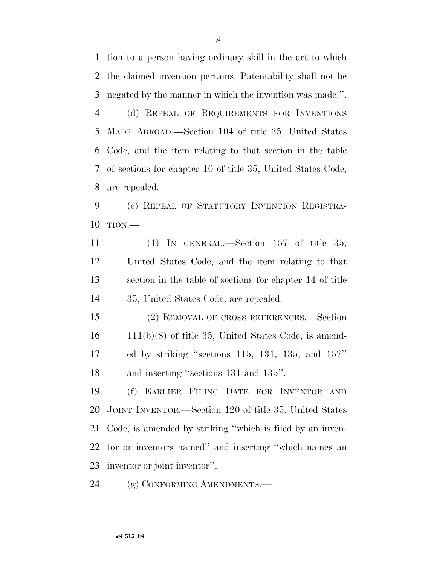tion to a person having ordinary skill in the art to which the claimed invention pertains. Patentability shall not be negated by the manner in which the invention was made.''. (d) REPEAL OF REQUIREMENTS FOR INVENTIONS MADE ABROAD.—Section 104 of title 35, United States Code, and the item relating to that section in the table of sections for chapter 10 of title 35, United States Code, are repealed.

 (e) REPEAL OF STATUTORY INVENTION REGISTRA-TION.—

 (1) IN GENERAL.—Section 157 of title 35, United States Code, and the item relating to that section in the table of sections for chapter 14 of title 35, United States Code, are repealed.

 (2) REMOVAL OF CROSS REFERENCES.—Section 111(b)(8) of title 35, United States Code, is amend- ed by striking ''sections 115, 131, 135, and 157'' and inserting ''sections 131 and 135''.

 (f) EARLIER FILING DATE FOR INVENTOR AND JOINT INVENTOR.—Section 120 of title 35, United States Code, is amended by striking ''which is filed by an inven- tor or inventors named'' and inserting ''which names an inventor or joint inventor''.

24 (g) CONFORMING AMENDMENTS.—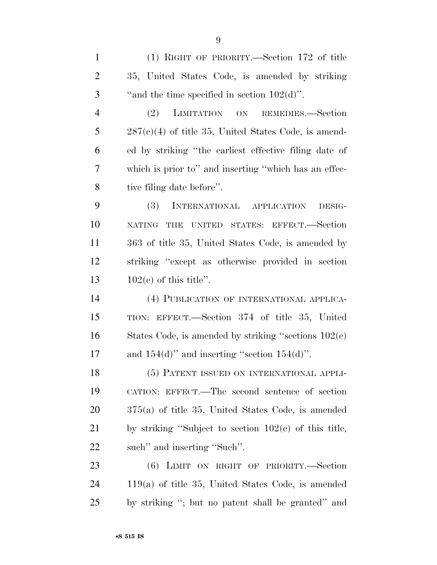(1) RIGHT OF PRIORITY.—Section 172 of title 35, United States Code, is amended by striking 3  $\ldots$  "and the time specified in section  $102(d)$ ".

 (2) LIMITATION ON REMEDIES.—Section 287(c)(4) of title 35, United States Code, is amend- ed by striking ''the earliest effective filing date of which is prior to'' and inserting ''which has an effec-tive filing date before''.

 (3) INTERNATIONAL APPLICATION DESIG- NATING THE UNITED STATES: EFFECT.—Section 363 of title 35, United States Code, is amended by striking ''except as otherwise provided in section 102(e) of this title''.

 (4) PUBLICATION OF INTERNATIONAL APPLICA- TION: EFFECT.—Section 374 of title 35, United States Code, is amended by striking ''sections 102(e) 17 and  $154(d)$ " and inserting "section  $154(d)$ ".

 (5) PATENT ISSUED ON INTERNATIONAL APPLI- CATION: EFFECT.—The second sentence of section 375(a) of title 35, United States Code, is amended by striking ''Subject to section 102(e) of this title, such'' and inserting ''Such''.

 (6) LIMIT ON RIGHT OF PRIORITY.—Section 119(a) of title 35, United States Code, is amended by striking ''; but no patent shall be granted'' and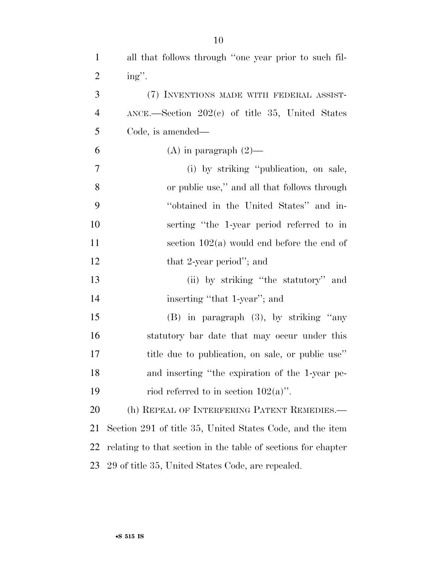| $\mathbf{1}$   | all that follows through "one year prior to such fil-         |
|----------------|---------------------------------------------------------------|
| $\overline{2}$ | ing".                                                         |
| 3              | (7) INVENTIONS MADE WITH FEDERAL ASSIST-                      |
| $\overline{4}$ | ANCE.-Section 202(c) of title 35, United States               |
| 5              | Code, is amended—                                             |
| 6              | (A) in paragraph $(2)$ —                                      |
| 7              | (i) by striking "publication, on sale,                        |
| 8              | or public use," and all that follows through                  |
| 9              | "obtained in the United States" and in-                       |
| 10             | serting "the 1-year period referred to in                     |
| 11             | section $102(a)$ would end before the end of                  |
| 12             | that 2-year period"; and                                      |
| 13             | (ii) by striking "the statutory" and                          |
| 14             | inserting "that 1-year"; and                                  |
| 15             | (B) in paragraph (3), by striking "any                        |
| 16             | statutory bar date that may occur under this                  |
| 17             | title due to publication, on sale, or public use"             |
| 18             | and inserting "the expiration of the 1-year pe-               |
| 19             | riod referred to in section $102(a)$ .                        |
| 20             | (h) REPEAL OF INTERFERING PATENT REMEDIES.—                   |
| 21             | Section 291 of title 35, United States Code, and the item     |
| 22             | relating to that section in the table of sections for chapter |
| 23             | 29 of title 35, United States Code, are repealed.             |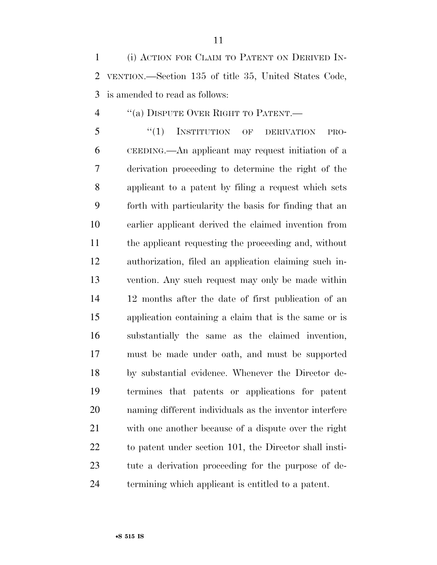(i) ACTION FOR CLAIM TO PATENT ON DERIVED IN- VENTION.—Section 135 of title 35, United States Code, is amended to read as follows:

''(a) DISPUTE OVER RIGHT TO PATENT.—

 ''(1) INSTITUTION OF DERIVATION PRO- CEEDING.—An applicant may request initiation of a derivation proceeding to determine the right of the applicant to a patent by filing a request which sets forth with particularity the basis for finding that an earlier applicant derived the claimed invention from the applicant requesting the proceeding and, without authorization, filed an application claiming such in- vention. Any such request may only be made within 12 months after the date of first publication of an application containing a claim that is the same or is substantially the same as the claimed invention, must be made under oath, and must be supported by substantial evidence. Whenever the Director de- termines that patents or applications for patent naming different individuals as the inventor interfere with one another because of a dispute over the right to patent under section 101, the Director shall insti- tute a derivation proceeding for the purpose of de-termining which applicant is entitled to a patent.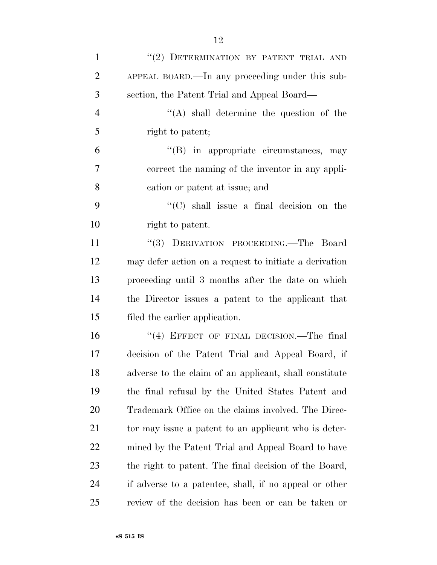| $\mathbf 1$    | "(2) DETERMINATION BY PATENT TRIAL AND                 |
|----------------|--------------------------------------------------------|
| $\overline{2}$ | APPEAL BOARD.—In any proceeding under this sub-        |
| 3              | section, the Patent Trial and Appeal Board—            |
| $\overline{4}$ | "(A) shall determine the question of the               |
| 5              | right to patent;                                       |
| 6              | $\lq\lq$ in appropriate circumstances, may             |
| $\tau$         | correct the naming of the inventor in any appli-       |
| 8              | cation or patent at issue; and                         |
| 9              | $\lq\lq$ (C) shall issue a final decision on the       |
| 10             | right to patent.                                       |
| 11             | "(3) DERIVATION PROCEEDING.—The Board                  |
| 12             | may defer action on a request to initiate a derivation |
| 13             | proceeding until 3 months after the date on which      |
| 14             | the Director issues a patent to the applicant that     |
| 15             | filed the earlier application.                         |
| 16             | "(4) EFFECT OF FINAL DECISION.—The final               |
| 17             | decision of the Patent Trial and Appeal Board, if      |
| 18             | adverse to the claim of an applicant, shall constitute |
| 19             | the final refusal by the United States Patent and      |
| 20             | Trademark Office on the claims involved. The Direc-    |
| 21             | tor may issue a patent to an applicant who is deter-   |
| 22             | mined by the Patent Trial and Appeal Board to have     |
| 23             | the right to patent. The final decision of the Board,  |
| 24             | if adverse to a patentee, shall, if no appeal or other |
| 25             | review of the decision has been or can be taken or     |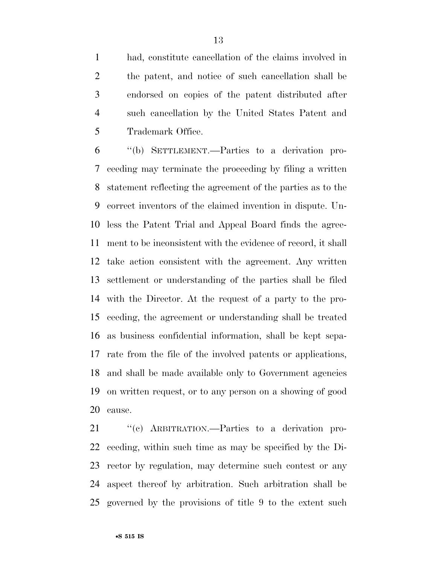had, constitute cancellation of the claims involved in the patent, and notice of such cancellation shall be endorsed on copies of the patent distributed after such cancellation by the United States Patent and Trademark Office.

 ''(b) SETTLEMENT.—Parties to a derivation pro- ceeding may terminate the proceeding by filing a written statement reflecting the agreement of the parties as to the correct inventors of the claimed invention in dispute. Un- less the Patent Trial and Appeal Board finds the agree- ment to be inconsistent with the evidence of record, it shall take action consistent with the agreement. Any written settlement or understanding of the parties shall be filed with the Director. At the request of a party to the pro- ceeding, the agreement or understanding shall be treated as business confidential information, shall be kept sepa- rate from the file of the involved patents or applications, and shall be made available only to Government agencies on written request, or to any person on a showing of good cause.

 ''(c) ARBITRATION.—Parties to a derivation pro- ceeding, within such time as may be specified by the Di- rector by regulation, may determine such contest or any aspect thereof by arbitration. Such arbitration shall be governed by the provisions of title 9 to the extent such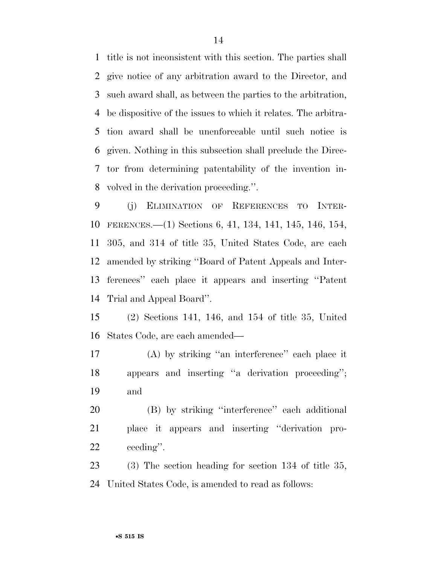title is not inconsistent with this section. The parties shall give notice of any arbitration award to the Director, and such award shall, as between the parties to the arbitration, be dispositive of the issues to which it relates. The arbitra- tion award shall be unenforceable until such notice is given. Nothing in this subsection shall preclude the Direc- tor from determining patentability of the invention in-volved in the derivation proceeding.''.

 (j) ELIMINATION OF REFERENCES TO INTER- FERENCES.—(1) Sections 6, 41, 134, 141, 145, 146, 154, 305, and 314 of title 35, United States Code, are each amended by striking ''Board of Patent Appeals and Inter- ferences'' each place it appears and inserting ''Patent Trial and Appeal Board''.

 (2) Sections 141, 146, and 154 of title 35, United States Code, are each amended—

 (A) by striking ''an interference'' each place it appears and inserting ''a derivation proceeding''; and

 (B) by striking ''interference'' each additional place it appears and inserting ''derivation pro-ceeding''.

 (3) The section heading for section 134 of title 35, United States Code, is amended to read as follows: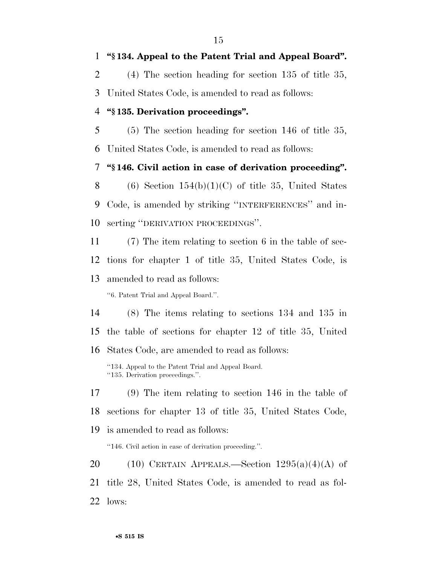**''§ 134. Appeal to the Patent Trial and Appeal Board''.** 

(4) The section heading for section 135 of title 35,

United States Code, is amended to read as follows:

# **''§ 135. Derivation proceedings''.**

 (5) The section heading for section 146 of title 35, United States Code, is amended to read as follows:

**''§ 146. Civil action in case of derivation proceeding''.** 

8 (6) Section  $154(b)(1)(C)$  of title 35, United States Code, is amended by striking ''INTERFERENCES'' and in-serting ''DERIVATION PROCEEDINGS''.

 (7) The item relating to section 6 in the table of sec- tions for chapter 1 of title 35, United States Code, is amended to read as follows:

''6. Patent Trial and Appeal Board.''.

(8) The items relating to sections 134 and 135 in

the table of sections for chapter 12 of title 35, United

States Code, are amended to read as follows:

''134. Appeal to the Patent Trial and Appeal Board. ''135. Derivation proceedings.''.

(9) The item relating to section 146 in the table of

sections for chapter 13 of title 35, United States Code,

is amended to read as follows:

''146. Civil action in case of derivation proceeding.''.

20 (10) CERTAIN APPEALS.—Section  $1295(a)(4)(A)$  of title 28, United States Code, is amended to read as fol-lows: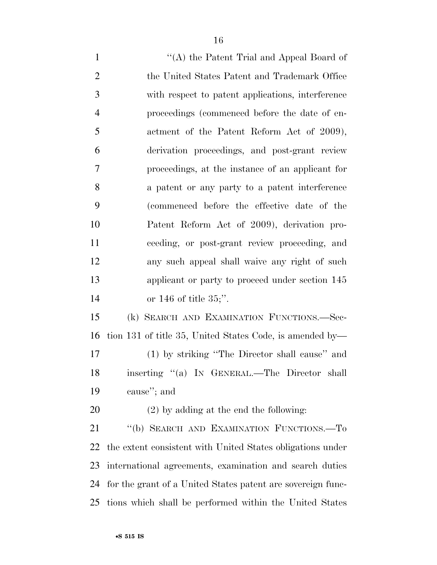1 ''(A) the Patent Trial and Appeal Board of the United States Patent and Trademark Office with respect to patent applications, interference proceedings (commenced before the date of en-5 actment of the Patent Reform Act of 2009), derivation proceedings, and post-grant review proceedings, at the instance of an applicant for a patent or any party to a patent interference (commenced before the effective date of the Patent Reform Act of 2009), derivation pro- ceeding, or post-grant review proceeding, and any such appeal shall waive any right of such applicant or party to proceed under section 145 or 146 of title 35;''. (k) SEARCH AND EXAMINATION FUNCTIONS.—Sec- tion 131 of title 35, United States Code, is amended by— (1) by striking ''The Director shall cause'' and inserting ''(a) IN GENERAL.—The Director shall cause''; and (2) by adding at the end the following: 21 "(b) SEARCH AND EXAMINATION FUNCTIONS.—To

 the extent consistent with United States obligations under international agreements, examination and search duties for the grant of a United States patent are sovereign func-tions which shall be performed within the United States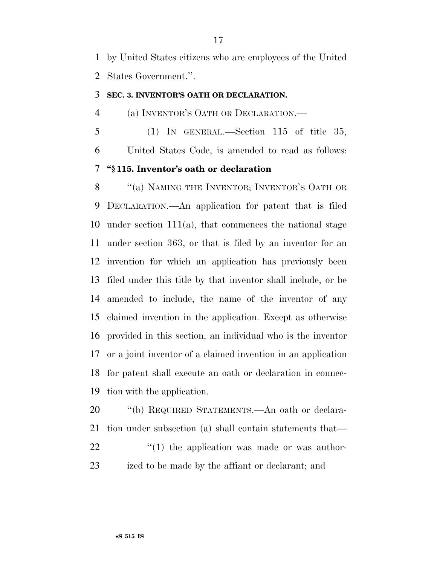by United States citizens who are employees of the United States Government.''.

# **SEC. 3. INVENTOR'S OATH OR DECLARATION.**

(a) INVENTOR'S OATH OR DECLARATION.—

 (1) IN GENERAL.—Section 115 of title 35, United States Code, is amended to read as follows: **''§ 115. Inventor's oath or declaration** 

8 "(a) NAMING THE INVENTOR; INVENTOR'S OATH OR DECLARATION.—An application for patent that is filed under section 111(a), that commences the national stage under section 363, or that is filed by an inventor for an invention for which an application has previously been filed under this title by that inventor shall include, or be amended to include, the name of the inventor of any claimed invention in the application. Except as otherwise provided in this section, an individual who is the inventor or a joint inventor of a claimed invention in an application for patent shall execute an oath or declaration in connec-tion with the application.

 ''(b) REQUIRED STATEMENTS.—An oath or declara- tion under subsection (a) shall contain statements that—  $(1)$  the application was made or was author-ized to be made by the affiant or declarant; and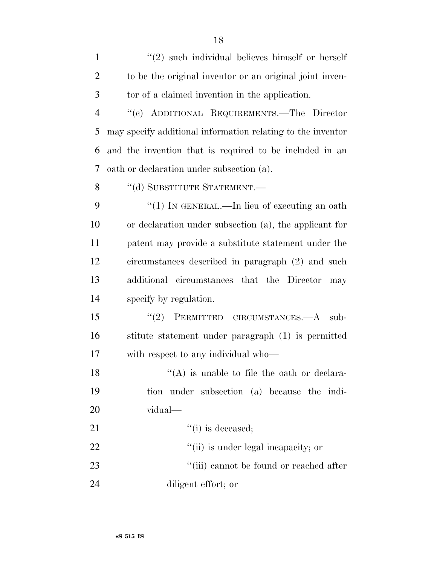| $\mathbf{1}$   | $\lq(2)$ such individual believes himself or herself        |
|----------------|-------------------------------------------------------------|
| $\overline{2}$ | to be the original inventor or an original joint inven-     |
| 3              | tor of a claimed invention in the application.              |
| $\overline{4}$ | "(c) ADDITIONAL REQUIREMENTS.—The Director                  |
| 5              | may specify additional information relating to the inventor |
| 6              | and the invention that is required to be included in an     |
| 7              | oath or declaration under subsection (a).                   |
| 8              | "(d) SUBSTITUTE STATEMENT.-                                 |
| 9              | "(1) IN GENERAL.—In lieu of executing an oath               |
| 10             | or declaration under subsection (a), the applicant for      |
| 11             | patent may provide a substitute statement under the         |
| 12             | circumstances described in paragraph (2) and such           |
|                |                                                             |
| 13             | additional circumstances that the Director<br>may           |
| 14             | specify by regulation.                                      |
| 15             | PERMITTED CIRCUMSTANCES.—A<br>(2)<br>sub-                   |
| 16             | stitute statement under paragraph (1) is permitted          |
| 17             | with respect to any individual who—                         |
| 18             | $\lq($ A) is unable to file the oath or declara-            |
| 19             | tion under subsection (a) because the indi-                 |
| 20             | vidual—                                                     |
| 21             | $``(i)$ is deceased;                                        |
| 22             | "(ii) is under legal incapacity; or                         |
| 23             | "(iii) cannot be found or reached after                     |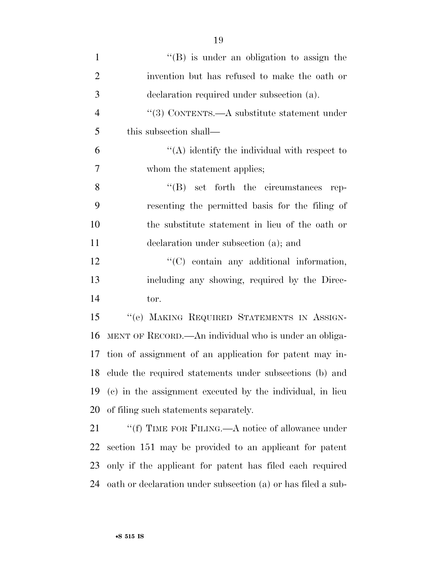| $\mathbf{1}$   | $\lq\lq (B)$ is under an obligation to assign the          |
|----------------|------------------------------------------------------------|
| $\overline{2}$ | invention but has refused to make the oath or              |
| 3              | declaration required under subsection (a).                 |
| $\overline{4}$ | "(3) CONTENTS.— $A$ substitute statement under             |
| 5              | this subsection shall—                                     |
| 6              | $\lq\lq$ identify the individual with respect to           |
| 7              | whom the statement applies;                                |
| 8              | $\lq\lq (B)$ set forth the circumstances<br>rep-           |
| 9              | resenting the permitted basis for the filing of            |
| 10             | the substitute statement in lieu of the oath or            |
| 11             | declaration under subsection (a); and                      |
| 12             | "(C) contain any additional information,                   |
| 13             | including any showing, required by the Direc-              |
| 14             | tor.                                                       |
| 15             | "(e) MAKING REQUIRED STATEMENTS IN ASSIGN-                 |
| 16             | MENT OF RECORD.—An individual who is under an obliga-      |
| 17             | tion of assignment of an application for patent may in-    |
|                | 18 clude the required statements under subsections (b) and |
| 19             | (c) in the assignment executed by the individual, in lieu  |
| 20             | of filing such statements separately.                      |
| 21             | "(f) TIME FOR FILING.—A notice of allowance under          |
| 22             | section 151 may be provided to an applicant for patent     |
| 23             | only if the applicant for patent has filed each required   |

oath or declaration under subsection (a) or has filed a sub-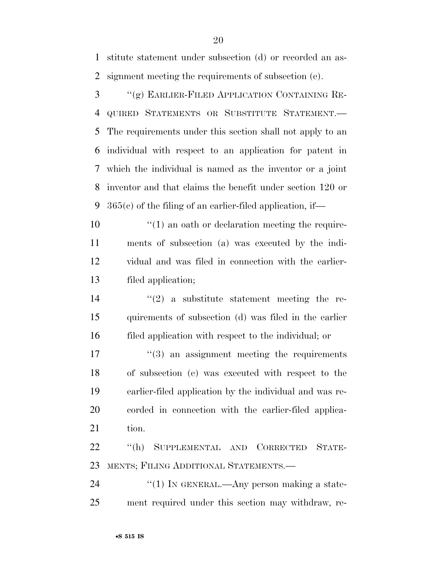stitute statement under subsection (d) or recorded an as-signment meeting the requirements of subsection (e).

 ''(g) EARLIER-FILED APPLICATION CONTAINING RE- QUIRED STATEMENTS OR SUBSTITUTE STATEMENT.— The requirements under this section shall not apply to an individual with respect to an application for patent in which the individual is named as the inventor or a joint inventor and that claims the benefit under section 120 or 365(c) of the filing of an earlier-filed application, if—

 $\mathcal{L}(1)$  an oath or declaration meeting the require- ments of subsection (a) was executed by the indi- vidual and was filed in connection with the earlier-filed application;

14  $(2)$  a substitute statement meeting the re- quirements of subsection (d) was filed in the earlier filed application with respect to the individual; or

 $\frac{17}{2}$  ''(3) an assignment meeting the requirements of subsection (e) was executed with respect to the earlier-filed application by the individual and was re- corded in connection with the earlier-filed applica-21 tion.

 ''(h) SUPPLEMENTAL AND CORRECTED STATE-MENTS; FILING ADDITIONAL STATEMENTS.—

24  $\frac{1}{2}$  (1) In GENERAL.—Any person making a state-ment required under this section may withdraw, re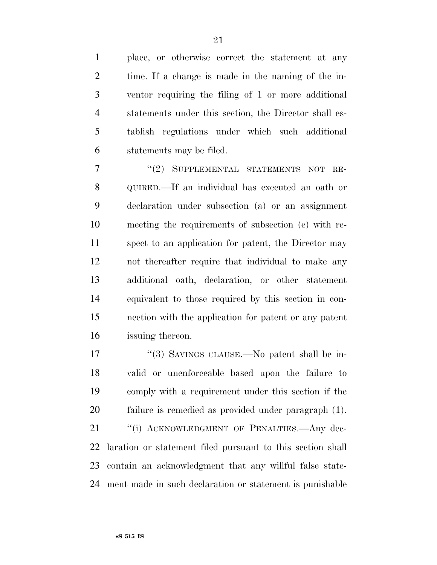place, or otherwise correct the statement at any time. If a change is made in the naming of the in- ventor requiring the filing of 1 or more additional statements under this section, the Director shall es- tablish regulations under which such additional statements may be filed.

7 "(2) SUPPLEMENTAL STATEMENTS NOT RE- QUIRED.—If an individual has executed an oath or declaration under subsection (a) or an assignment meeting the requirements of subsection (e) with re- spect to an application for patent, the Director may not thereafter require that individual to make any additional oath, declaration, or other statement equivalent to those required by this section in con- nection with the application for patent or any patent issuing thereon.

 ''(3) SAVINGS CLAUSE.—No patent shall be in- valid or unenforceable based upon the failure to comply with a requirement under this section if the failure is remedied as provided under paragraph (1). 21 "(i) ACKNOWLEDGMENT OF PENALTIES.—Any dec-laration or statement filed pursuant to this section shall

ment made in such declaration or statement is punishable

contain an acknowledgment that any willful false state-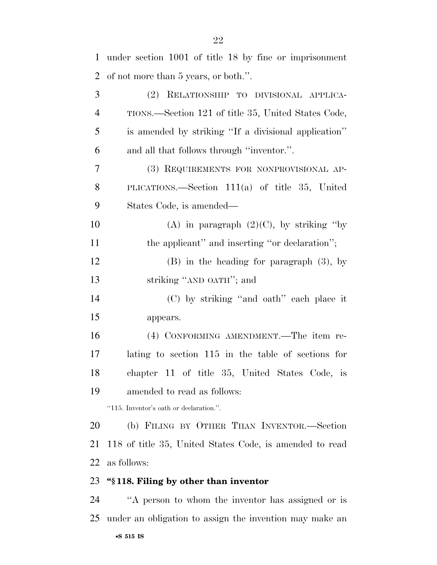| 1              | under section 1001 of title 18 by fine or imprisonment     |
|----------------|------------------------------------------------------------|
| $\overline{2}$ | of not more than 5 years, or both.".                       |
| 3              | (2) RELATIONSHIP TO DIVISIONAL APPLICA-                    |
| $\overline{4}$ | TIONS.—Section 121 of title 35, United States Code,        |
| 5              | is amended by striking "If a divisional application"       |
| 6              | and all that follows through "inventor.".                  |
| $\tau$         | (3) REQUIREMENTS FOR NONPROVISIONAL AP-                    |
| 8              | PLICATIONS.—Section $111(a)$ of title 35, United           |
| 9              | States Code, is amended—                                   |
| 10             | (A) in paragraph $(2)(C)$ , by striking "by                |
| 11             | the applicant" and inserting "or declaration";             |
| 12             | $(B)$ in the heading for paragraph $(3)$ , by              |
| 13             | striking "AND OATH"; and                                   |
| 14             | (C) by striking "and oath" each place it                   |
| 15             | appears.                                                   |
| 16             | (4) CONFORMING AMENDMENT.—The item re-                     |
| 17             | lating to section 115 in the table of sections for         |
| 18             | chapter 11 of title 35, United States Code, is             |
| 19             | amended to read as follows:                                |
|                | "115. Inventor's oath or declaration.".                    |
| 20             | (b) FILING BY OTHER THAN INVENTOR.-Section                 |
| 21             | 118 of title 35, United States Code, is amended to read    |
| 22             | as follows:                                                |
| 23             | "§118. Filing by other than inventor                       |
| 24             | "A person to whom the inventor has assigned or is          |
|                | 25 under an obligation to assign the invention may make an |
|                |                                                            |

#### •**S 515 IS**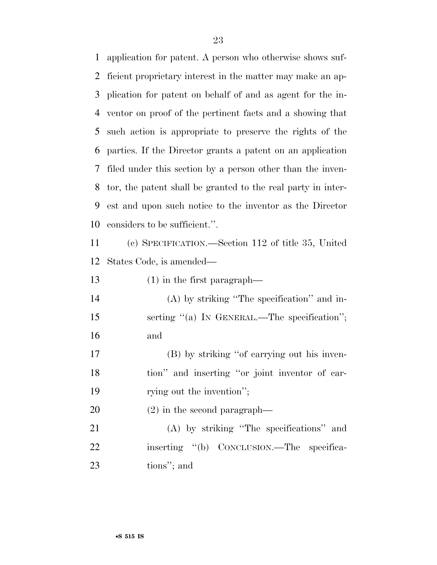application for patent. A person who otherwise shows suf- ficient proprietary interest in the matter may make an ap- plication for patent on behalf of and as agent for the in- ventor on proof of the pertinent facts and a showing that such action is appropriate to preserve the rights of the parties. If the Director grants a patent on an application filed under this section by a person other than the inven- tor, the patent shall be granted to the real party in inter- est and upon such notice to the inventor as the Director considers to be sufficient.''.

 (c) SPECIFICATION.—Section 112 of title 35, United States Code, is amended—

(1) in the first paragraph—

 (A) by striking ''The specification'' and in-15 serting "(a) IN GENERAL.—The specification"; and

 (B) by striking ''of carrying out his inven- tion'' and inserting ''or joint inventor of car-19 rying out the invention";

(2) in the second paragraph—

 (A) by striking ''The specifications'' and 22 inserting "(b) CONCLUSION.—The specifica-tions''; and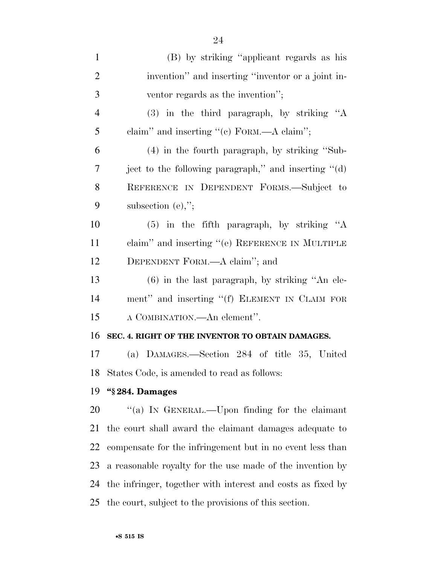| $\mathbf{1}$   | (B) by striking "applicant regards as his                   |
|----------------|-------------------------------------------------------------|
| $\overline{2}$ | invention" and inserting "inventor or a joint in-           |
| 3              | ventor regards as the invention";                           |
| $\overline{4}$ | (3) in the third paragraph, by striking "A                  |
| 5              | claim" and inserting "(c) FORM.—A claim";                   |
| 6              | $(4)$ in the fourth paragraph, by striking "Sub-            |
| 7              | ject to the following paragraph," and inserting "(d)        |
| 8              | REFERENCE IN DEPENDENT FORMS.-Subject to                    |
| 9              | subsection $(e)$ ,";                                        |
| 10             | $(5)$ in the fifth paragraph, by striking "A                |
| 11             | claim" and inserting "(e) REFERENCE IN MULTIPLE             |
| 12             | DEPENDENT FORM.—A claim"; and                               |
| 13             | $(6)$ in the last paragraph, by striking "An ele-           |
| 14             | ment" and inserting "(f) ELEMENT IN CLAIM FOR               |
| 15             | A COMBINATION.—An element".                                 |
| 16             | SEC. 4. RIGHT OF THE INVENTOR TO OBTAIN DAMAGES.            |
| 17             | (a) DAMAGES.—Section 284 of title 35, United                |
|                | 18 States Code, is amended to read as follows:              |
| 19             | "§284. Damages                                              |
| 20             | "(a) IN GENERAL.—Upon finding for the claimant              |
| 21             | the court shall award the claimant damages adequate to      |
| 22             | compensate for the infringement but in no event less than   |
| 23             | a reasonable royalty for the use made of the invention by   |
| 24             | the infringer, together with interest and costs as fixed by |
| 25             | the court, subject to the provisions of this section.       |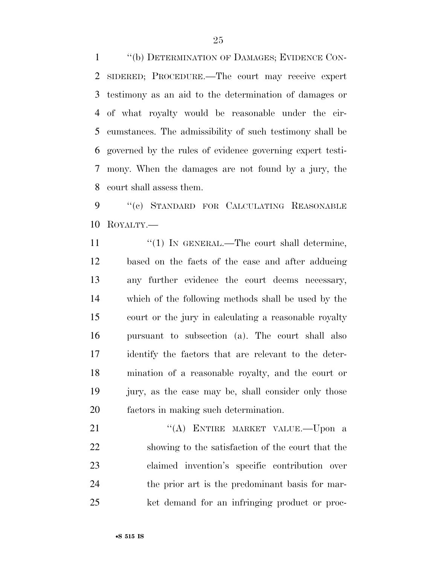''(b) DETERMINATION OF DAMAGES; EVIDENCE CON- SIDERED; PROCEDURE.—The court may receive expert testimony as an aid to the determination of damages or of what royalty would be reasonable under the cir- cumstances. The admissibility of such testimony shall be governed by the rules of evidence governing expert testi- mony. When the damages are not found by a jury, the court shall assess them.

9 "(c) STANDARD FOR CALCULATING REASONABLE ROYALTY.—

11 ''(1) IN GENERAL.—The court shall determine, based on the facts of the case and after adducing any further evidence the court deems necessary, which of the following methods shall be used by the court or the jury in calculating a reasonable royalty pursuant to subsection (a). The court shall also identify the factors that are relevant to the deter- mination of a reasonable royalty, and the court or jury, as the case may be, shall consider only those factors in making such determination.

21 "(A) ENTIRE MARKET VALUE.—Upon a showing to the satisfaction of the court that the claimed invention's specific contribution over the prior art is the predominant basis for mar-ket demand for an infringing product or proc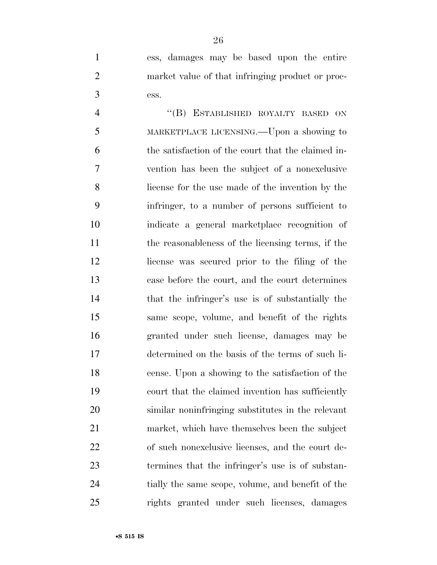ess, damages may be based upon the entire market value of that infringing product or proc-ess.

 ''(B) ESTABLISHED ROYALTY BASED ON MARKETPLACE LICENSING.—Upon a showing to the satisfaction of the court that the claimed in- vention has been the subject of a nonexclusive license for the use made of the invention by the infringer, to a number of persons sufficient to indicate a general marketplace recognition of the reasonableness of the licensing terms, if the license was secured prior to the filing of the case before the court, and the court determines that the infringer's use is of substantially the same scope, volume, and benefit of the rights granted under such license, damages may be determined on the basis of the terms of such li- cense. Upon a showing to the satisfaction of the court that the claimed invention has sufficiently similar noninfringing substitutes in the relevant market, which have themselves been the subject of such nonexclusive licenses, and the court de- termines that the infringer's use is of substan- tially the same scope, volume, and benefit of the rights granted under such licenses, damages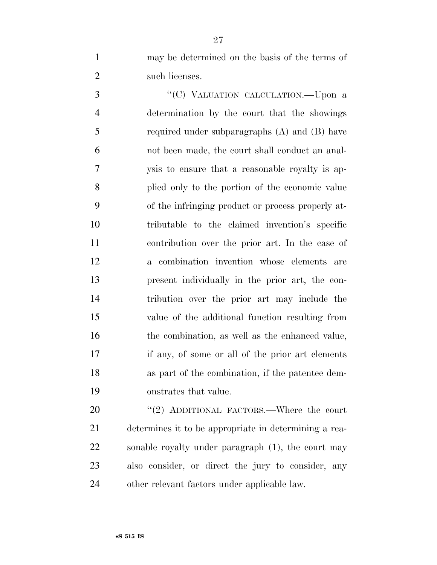may be determined on the basis of the terms of 2 such licenses.

3 "'(C) VALUATION CALCULATION.—Upon a determination by the court that the showings required under subparagraphs (A) and (B) have not been made, the court shall conduct an anal- ysis to ensure that a reasonable royalty is ap- plied only to the portion of the economic value of the infringing product or process properly at- tributable to the claimed invention's specific contribution over the prior art. In the case of a combination invention whose elements are present individually in the prior art, the con- tribution over the prior art may include the value of the additional function resulting from 16 the combination, as well as the enhanced value, if any, of some or all of the prior art elements as part of the combination, if the patentee dem-onstrates that value.

20 "(2) ADDITIONAL FACTORS.—Where the court determines it to be appropriate in determining a rea- sonable royalty under paragraph (1), the court may also consider, or direct the jury to consider, any other relevant factors under applicable law.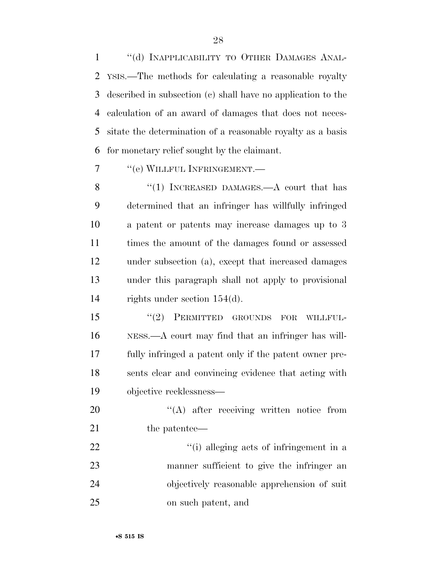1 "(d) INAPPLICABILITY TO OTHER DAMAGES ANAL- YSIS.—The methods for calculating a reasonable royalty described in subsection (c) shall have no application to the calculation of an award of damages that does not neces- sitate the determination of a reasonable royalty as a basis for monetary relief sought by the claimant.

''(e) WILLFUL INFRINGEMENT.—

8 "(1) INCREASED DAMAGES.—A court that has determined that an infringer has willfully infringed a patent or patents may increase damages up to 3 times the amount of the damages found or assessed under subsection (a), except that increased damages under this paragraph shall not apply to provisional rights under section 154(d).

15 "(2) PERMITTED GROUNDS FOR WILLFUL- NESS.—A court may find that an infringer has will- fully infringed a patent only if the patent owner pre- sents clear and convincing evidence that acting with objective recklessness—

20  $\text{``(A)}$  after receiving written notice from 21 the patentee—

22 ''(i) alleging acts of infringement in a manner sufficient to give the infringer an objectively reasonable apprehension of suit on such patent, and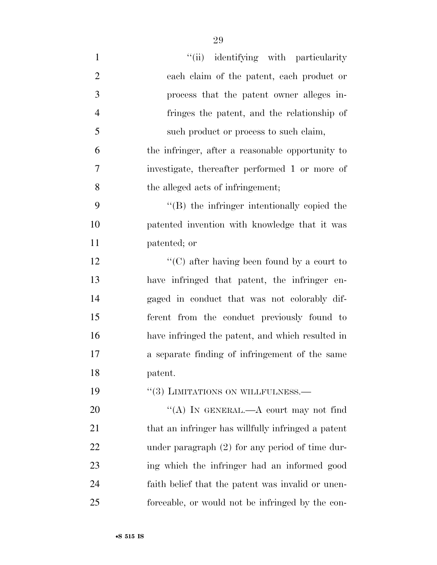| $\mathbf{1}$   | "(ii) identifying with particularity               |
|----------------|----------------------------------------------------|
| $\overline{2}$ | each claim of the patent, each product or          |
| 3              | process that the patent owner alleges in-          |
| $\overline{4}$ | fringes the patent, and the relationship of        |
| 5              | such product or process to such claim,             |
| 6              | the infringer, after a reasonable opportunity to   |
| 7              | investigate, thereafter performed 1 or more of     |
| 8              | the alleged acts of infringement;                  |
| 9              | "(B) the infringer intentionally copied the        |
| 10             | patented invention with knowledge that it was      |
| 11             | patented; or                                       |
| 12             | "(C) after having been found by a court to         |
| 13             | have infringed that patent, the infringer en-      |
| 14             | gaged in conduct that was not colorably dif-       |
| 15             | ferent from the conduct previously found to        |
| 16             | have infringed the patent, and which resulted in   |
| 17             | a separate finding of infringement of the same     |
| 18             | patent.                                            |
| 19             | "(3) LIMITATIONS ON WILLFULNESS.—                  |
| 20             | "(A) IN GENERAL.—A court may not find              |
| 21             | that an infringer has willfully infringed a patent |
| 22             | under paragraph $(2)$ for any period of time dur-  |
| 23             | ing which the infringer had an informed good       |
| 24             | faith belief that the patent was invalid or unen-  |
| 25             | forceable, or would not be infringed by the con-   |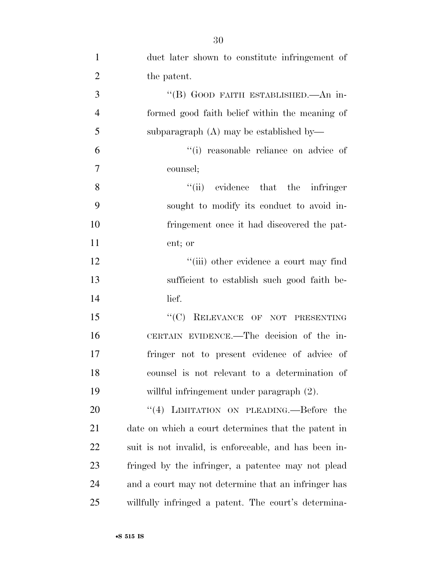| $\mathbf{1}$   | duct later shown to constitute infringement of        |
|----------------|-------------------------------------------------------|
| $\overline{2}$ | the patent.                                           |
| 3              | "(B) GOOD FAITH ESTABLISHED.—An in-                   |
| $\overline{4}$ | formed good faith belief within the meaning of        |
| 5              | subparagraph $(A)$ may be established by-             |
| 6              | "(i) reasonable reliance on advice of                 |
| $\overline{7}$ | counsel;                                              |
| 8              | $``(ii)$ evidence that the infringer                  |
| 9              | sought to modify its conduct to avoid in-             |
| 10             | fringement once it had discovered the pat-            |
| 11             | ent; or                                               |
| 12             | "(iii) other evidence a court may find                |
| 13             | sufficient to establish such good faith be-           |
| 14             | lief.                                                 |
| 15             | "(C) RELEVANCE OF NOT PRESENTING                      |
| 16             | CERTAIN EVIDENCE.—The decision of the in-             |
| 17             | fringer not to present evidence of advice of          |
| 18             | counsel is not relevant to a determination of         |
| 19             | willful infringement under paragraph (2).             |
| 20             | "(4) LIMITATION ON PLEADING.—Before the               |
| 21             | date on which a court determines that the patent in   |
| 22             | suit is not invalid, is enforceable, and has been in- |
| 23             | fringed by the infringer, a patentee may not plead    |
| 24             | and a court may not determine that an infringer has   |
| 25             | willfully infringed a patent. The court's determina-  |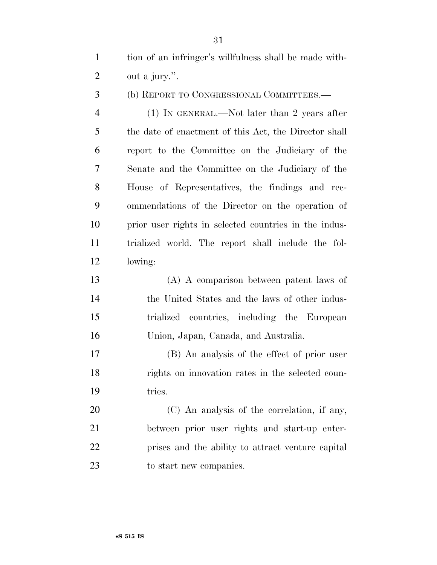tion of an infringer's willfulness shall be made with-out a jury.''.

(b) REPORT TO CONGRESSIONAL COMMITTEES.—

 (1) IN GENERAL.—Not later than 2 years after the date of enactment of this Act, the Director shall report to the Committee on the Judiciary of the Senate and the Committee on the Judiciary of the House of Representatives, the findings and rec- ommendations of the Director on the operation of prior user rights in selected countries in the indus- trialized world. The report shall include the fol-lowing:

 (A) A comparison between patent laws of the United States and the laws of other indus- trialized countries, including the European Union, Japan, Canada, and Australia.

 (B) An analysis of the effect of prior user rights on innovation rates in the selected coun-tries.

 (C) An analysis of the correlation, if any, between prior user rights and start-up enter- prises and the ability to attract venture capital 23 to start new companies.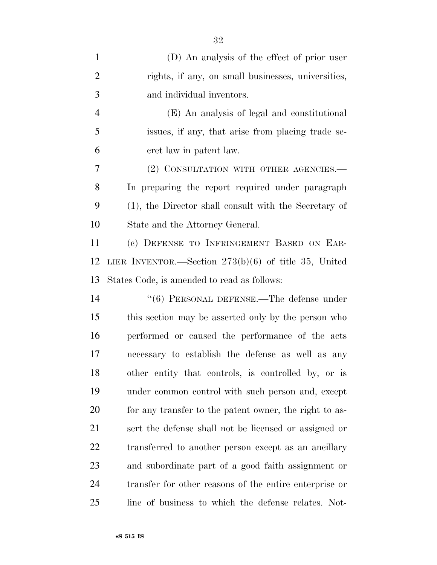| $\mathbf{1}$   | (D) An analysis of the effect of prior user            |
|----------------|--------------------------------------------------------|
| $\overline{2}$ | rights, if any, on small businesses, universities,     |
| 3              | and individual inventors.                              |
| $\overline{4}$ | (E) An analysis of legal and constitutional            |
| 5              | issues, if any, that arise from placing trade se-      |
| 6              | cret law in patent law.                                |
| 7              | (2) CONSULTATION WITH OTHER AGENCIES.-                 |
| 8              | In preparing the report required under paragraph       |
| 9              | (1), the Director shall consult with the Secretary of  |
| 10             | State and the Attorney General.                        |
| 11             | (c) DEFENSE TO INFRINGEMENT BASED ON EAR-              |
| 12             | LIER INVENTOR.—Section $273(b)(6)$ of title 35, United |
| 13             | States Code, is amended to read as follows:            |
| 14             | $``(6)$ PERSONAL DEFENSE.—The defense under            |
| 15             | this section may be asserted only by the person who    |
| 16             | performed or caused the performance of the acts        |
| 17             | necessary to establish the defense as well as any      |
| 18             | other entity that controls, is controlled by, or is    |
| 19             | under common control with such person and, except      |
| 20             | for any transfer to the patent owner, the right to as- |
| 21             | sert the defense shall not be licensed or assigned or  |
| 22             | transferred to another person except as an ancillary   |
| 23             | and subordinate part of a good faith assignment or     |
| 24             | transfer for other reasons of the entire enterprise or |
| 25             | line of business to which the defense relates. Not-    |

•**S 515 IS**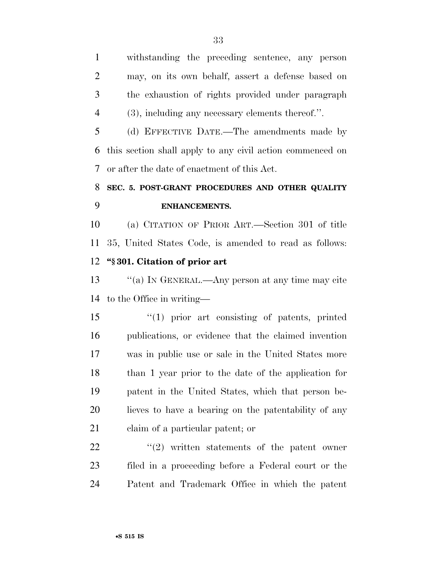withstanding the preceding sentence, any person may, on its own behalf, assert a defense based on the exhaustion of rights provided under paragraph (3), including any necessary elements thereof.''.

 (d) EFFECTIVE DATE.—The amendments made by this section shall apply to any civil action commenced on or after the date of enactment of this Act.

# **SEC. 5. POST-GRANT PROCEDURES AND OTHER QUALITY ENHANCEMENTS.**

 (a) CITATION OF PRIOR ART.—Section 301 of title 35, United States Code, is amended to read as follows: **''§ 301. Citation of prior art** 

 ''(a) IN GENERAL.—Any person at any time may cite to the Office in writing—

 ''(1) prior art consisting of patents, printed publications, or evidence that the claimed invention was in public use or sale in the United States more than 1 year prior to the date of the application for patent in the United States, which that person be- lieves to have a bearing on the patentability of any claim of a particular patent; or

  $\qquad$   $\qquad$   $\qquad$   $\qquad$   $\qquad$   $\qquad$   $\qquad$   $\qquad$   $\qquad$   $\qquad$   $\qquad$   $\qquad$   $\qquad$   $\qquad$   $\qquad$   $\qquad$   $\qquad$   $\qquad$   $\qquad$   $\qquad$   $\qquad$   $\qquad$   $\qquad$   $\qquad$   $\qquad$   $\qquad$   $\qquad$   $\qquad$   $\qquad$   $\qquad$   $\qquad$   $\qquad$   $\qquad$   $\qquad$   $\qquad$   $\qquad$  filed in a proceeding before a Federal court or the Patent and Trademark Office in which the patent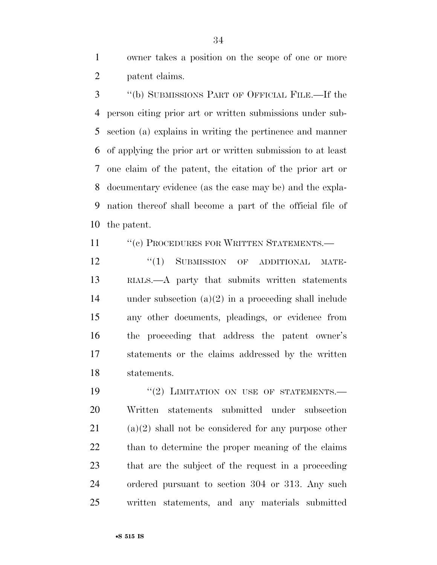owner takes a position on the scope of one or more patent claims.

 ''(b) SUBMISSIONS PART OF OFFICIAL FILE.—If the person citing prior art or written submissions under sub- section (a) explains in writing the pertinence and manner of applying the prior art or written submission to at least one claim of the patent, the citation of the prior art or documentary evidence (as the case may be) and the expla- nation thereof shall become a part of the official file of the patent.

11 "(c) PROCEDURES FOR WRITTEN STATEMENTS.—

12 "(1) SUBMISSION OF ADDITIONAL MATE- RIALS.—A party that submits written statements under subsection (a)(2) in a proceeding shall include any other documents, pleadings, or evidence from the proceeding that address the patent owner's statements or the claims addressed by the written statements.

19 "(2) LIMITATION ON USE OF STATEMENTS. Written statements submitted under subsection (a)(2) shall not be considered for any purpose other than to determine the proper meaning of the claims that are the subject of the request in a proceeding ordered pursuant to section 304 or 313. Any such written statements, and any materials submitted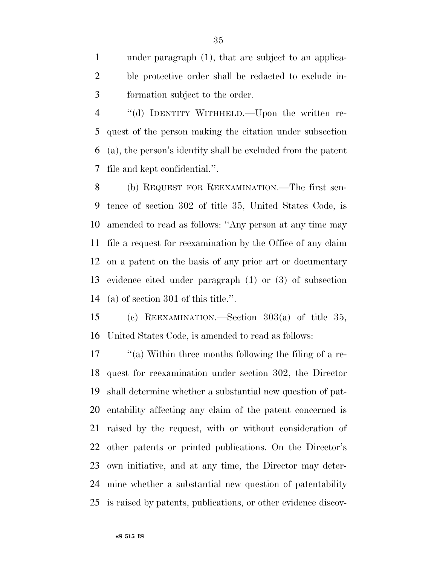under paragraph (1), that are subject to an applica- ble protective order shall be redacted to exclude in-formation subject to the order.

 ''(d) IDENTITY WITHHELD.—Upon the written re- quest of the person making the citation under subsection (a), the person's identity shall be excluded from the patent file and kept confidential.''.

 (b) REQUEST FOR REEXAMINATION.—The first sen- tence of section 302 of title 35, United States Code, is amended to read as follows: ''Any person at any time may file a request for reexamination by the Office of any claim on a patent on the basis of any prior art or documentary evidence cited under paragraph (1) or (3) of subsection (a) of section 301 of this title.''.

 (c) REEXAMINATION.—Section 303(a) of title 35, United States Code, is amended to read as follows:

 ''(a) Within three months following the filing of a re- quest for reexamination under section 302, the Director shall determine whether a substantial new question of pat- entability affecting any claim of the patent concerned is raised by the request, with or without consideration of other patents or printed publications. On the Director's own initiative, and at any time, the Director may deter- mine whether a substantial new question of patentability is raised by patents, publications, or other evidence discov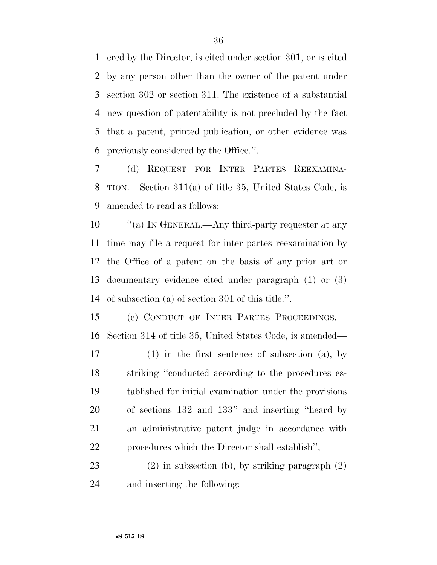ered by the Director, is cited under section 301, or is cited by any person other than the owner of the patent under section 302 or section 311. The existence of a substantial new question of patentability is not precluded by the fact that a patent, printed publication, or other evidence was previously considered by the Office.''.

 (d) REQUEST FOR INTER PARTES REEXAMINA- TION.—Section 311(a) of title 35, United States Code, is amended to read as follows:

 $\frac{10}{10}$  TN GENERAL.—Any third-party requester at any time may file a request for inter partes reexamination by the Office of a patent on the basis of any prior art or documentary evidence cited under paragraph (1) or (3) of subsection (a) of section 301 of this title.''.

 (e) CONDUCT OF INTER PARTES PROCEEDINGS.— Section 314 of title 35, United States Code, is amended—

 (1) in the first sentence of subsection (a), by striking ''conducted according to the procedures es- tablished for initial examination under the provisions of sections 132 and 133'' and inserting ''heard by an administrative patent judge in accordance with procedures which the Director shall establish'';

 (2) in subsection (b), by striking paragraph (2) and inserting the following: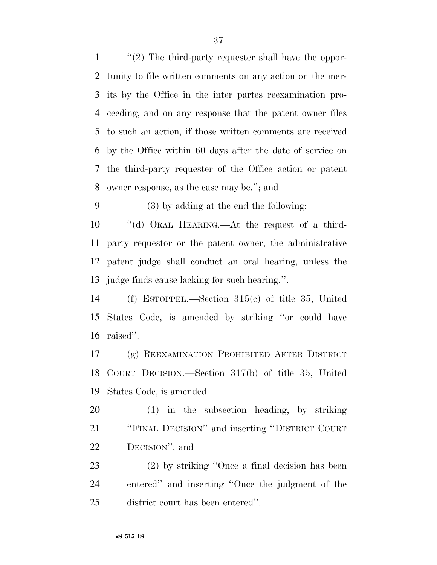''(2) The third-party requester shall have the oppor- tunity to file written comments on any action on the mer- its by the Office in the inter partes reexamination pro- ceeding, and on any response that the patent owner files to such an action, if those written comments are received by the Office within 60 days after the date of service on the third-party requester of the Office action or patent owner response, as the case may be.''; and

(3) by adding at the end the following:

 ''(d) ORAL HEARING.—At the request of a third- party requestor or the patent owner, the administrative patent judge shall conduct an oral hearing, unless the judge finds cause lacking for such hearing.''.

 (f) ESTOPPEL.—Section 315(c) of title 35, United States Code, is amended by striking ''or could have raised''.

 (g) REEXAMINATION PROHIBITED AFTER DISTRICT COURT DECISION.—Section 317(b) of title 35, United States Code, is amended—

 (1) in the subsection heading, by striking ''FINAL DECISION'' and inserting ''DISTRICT COURT DECISION''; and

 (2) by striking ''Once a final decision has been entered'' and inserting ''Once the judgment of the district court has been entered''.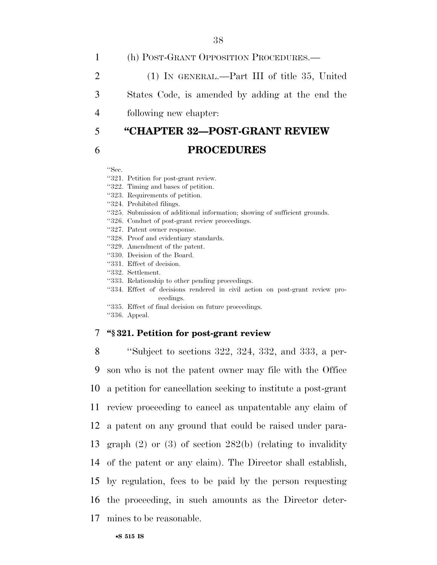1 (h) POST-GRANT OPPOSITION PROCEDURES.—

2 (1) IN GENERAL.—Part III of title 35, United

3 States Code, is amended by adding at the end the

4 following new chapter:

# 5 **''CHAPTER 32—POST-GRANT REVIEW**

# 6 **PROCEDURES**

#### ''Sec.

- ''321. Petition for post-grant review.
- ''322. Timing and bases of petition.
- ''323. Requirements of petition.
- ''324. Prohibited filings.
- ''325. Submission of additional information; showing of sufficient grounds.
- ''326. Conduct of post-grant review proceedings.
- ''327. Patent owner response.
- ''328. Proof and evidentiary standards.
- ''329. Amendment of the patent.
- ''330. Decision of the Board.
- ''331. Effect of decision.
- ''332. Settlement.
- ''333. Relationship to other pending proceedings.
- "334. Effect of decisions rendered in civil action on post-grant review proceedings.
- ''335. Effect of final decision on future proceedings.

''336. Appeal.

# 7 **''§ 321. Petition for post-grant review**

 ''Subject to sections 322, 324, 332, and 333, a per- son who is not the patent owner may file with the Office a petition for cancellation seeking to institute a post-grant review proceeding to cancel as unpatentable any claim of a patent on any ground that could be raised under para- graph (2) or (3) of section 282(b) (relating to invalidity of the patent or any claim). The Director shall establish, by regulation, fees to be paid by the person requesting the proceeding, in such amounts as the Director deter-mines to be reasonable.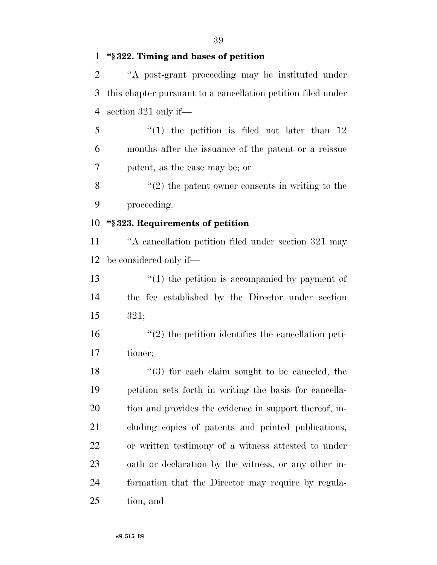#### **''§ 322. Timing and bases of petition**

 ''A post-grant proceeding may be instituted under this chapter pursuant to a cancellation petition filed under section 321 only if—

 ''(1) the petition is filed not later than 12 months after the issuance of the patent or a reissue patent, as the case may be; or

 $\frac{8}{2}$  <sup>(1</sup>(2) the patent owner consents in writing to the proceeding.

# **''§ 323. Requirements of petition**

 ''A cancellation petition filed under section 321 may be considered only if—

13 ''(1) the petition is accompanied by payment of the fee established by the Director under section 321;

 ''(2) the petition identifies the cancellation peti-tioner;

18 ''(3) for each claim sought to be canceled, the petition sets forth in writing the basis for cancella- tion and provides the evidence in support thereof, in- cluding copies of patents and printed publications, or written testimony of a witness attested to under oath or declaration by the witness, or any other in- formation that the Director may require by regula-tion; and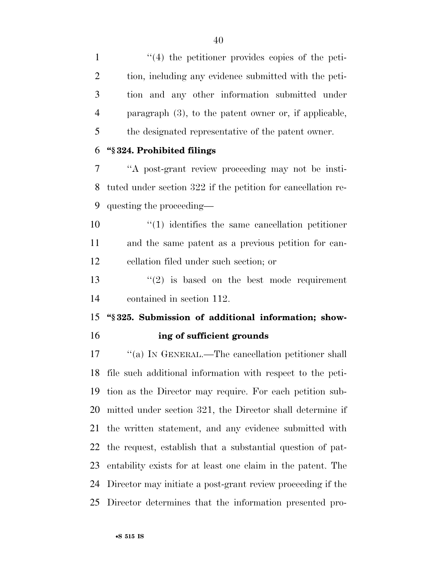1 ''(4) the petitioner provides copies of the peti- tion, including any evidence submitted with the peti- tion and any other information submitted under paragraph (3), to the patent owner or, if applicable, the designated representative of the patent owner.

#### **''§ 324. Prohibited filings**

 ''A post-grant review proceeding may not be insti- tuted under section 322 if the petition for cancellation re-questing the proceeding—

 ''(1) identifies the same cancellation petitioner and the same patent as a previous petition for can-cellation filed under such section; or

13  $(2)$  is based on the best mode requirement contained in section 112.

 **''§ 325. Submission of additional information; show-ing of sufficient grounds** 

 ''(a) IN GENERAL.—The cancellation petitioner shall file such additional information with respect to the peti- tion as the Director may require. For each petition sub- mitted under section 321, the Director shall determine if the written statement, and any evidence submitted with the request, establish that a substantial question of pat- entability exists for at least one claim in the patent. The Director may initiate a post-grant review proceeding if the Director determines that the information presented pro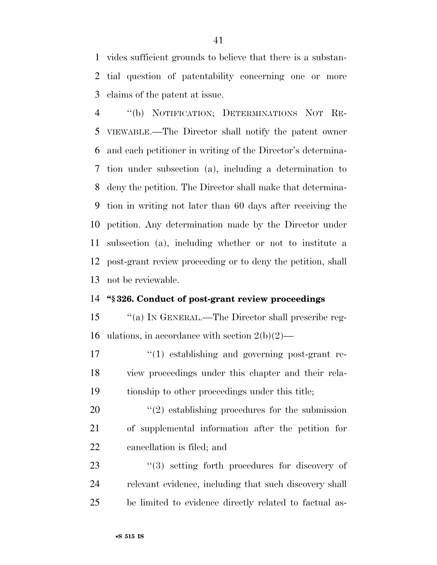vides sufficient grounds to believe that there is a substan- tial question of patentability concerning one or more claims of the patent at issue.

 ''(b) NOTIFICATION; DETERMINATIONS NOT RE- VIEWABLE.—The Director shall notify the patent owner and each petitioner in writing of the Director's determina- tion under subsection (a), including a determination to deny the petition. The Director shall make that determina- tion in writing not later than 60 days after receiving the petition. Any determination made by the Director under subsection (a), including whether or not to institute a post-grant review proceeding or to deny the petition, shall not be reviewable.

#### **''§ 326. Conduct of post-grant review proceedings**

 ''(a) IN GENERAL.—The Director shall prescribe reg-16 ulations, in accordance with section  $2(b)(2)$ —

17  $\frac{1}{2}$  (1) establishing and governing post-grant re- view proceedings under this chapter and their rela-tionship to other proceedings under this title;

20  $\frac{1}{2}$  establishing procedures for the submission of supplemental information after the petition for cancellation is filed; and

23  $(3)$  setting forth procedures for discovery of relevant evidence, including that such discovery shall be limited to evidence directly related to factual as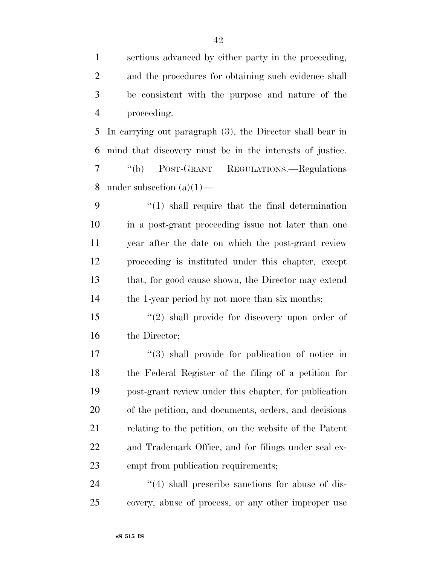sertions advanced by either party in the proceeding, and the procedures for obtaining such evidence shall be consistent with the purpose and nature of the proceeding.

 In carrying out paragraph (3), the Director shall bear in mind that discovery must be in the interests of justice. ''(b) POST-GRANT REGULATIONS.—Regulations 8 under subsection  $(a)(1)$ —

 ''(1) shall require that the final determination in a post-grant proceeding issue not later than one year after the date on which the post-grant review proceeding is instituted under this chapter, except that, for good cause shown, the Director may extend the 1-year period by not more than six months;

 ''(2) shall provide for discovery upon order of the Director;

 $\frac{1}{3}$  shall provide for publication of notice in the Federal Register of the filing of a petition for post-grant review under this chapter, for publication of the petition, and documents, orders, and decisions relating to the petition, on the website of the Patent and Trademark Office, and for filings under seal ex-empt from publication requirements;

24 ''(4) shall prescribe sanctions for abuse of dis-covery, abuse of process, or any other improper use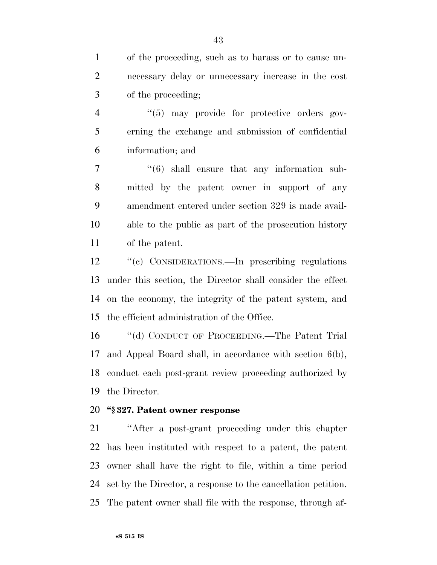of the proceeding, such as to harass or to cause un- necessary delay or unnecessary increase in the cost of the proceeding;

4  $(5)$  may provide for protective orders gov- erning the exchange and submission of confidential information; and

 $\frac{1}{6}$  shall ensure that any information sub- mitted by the patent owner in support of any amendment entered under section 329 is made avail- able to the public as part of the prosecution history of the patent.

 ''(c) CONSIDERATIONS.—In prescribing regulations under this section, the Director shall consider the effect on the economy, the integrity of the patent system, and the efficient administration of the Office.

 ''(d) CONDUCT OF PROCEEDING.—The Patent Trial and Appeal Board shall, in accordance with section 6(b), conduct each post-grant review proceeding authorized by the Director.

# **''§ 327. Patent owner response**

 ''After a post-grant proceeding under this chapter has been instituted with respect to a patent, the patent owner shall have the right to file, within a time period set by the Director, a response to the cancellation petition. The patent owner shall file with the response, through af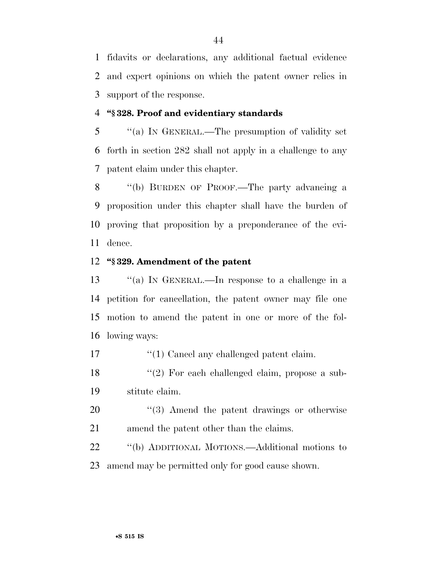fidavits or declarations, any additional factual evidence and expert opinions on which the patent owner relies in support of the response.

#### **''§ 328. Proof and evidentiary standards**

 ''(a) IN GENERAL.—The presumption of validity set forth in section 282 shall not apply in a challenge to any patent claim under this chapter.

 ''(b) BURDEN OF PROOF.—The party advancing a proposition under this chapter shall have the burden of proving that proposition by a preponderance of the evi-dence.

#### **''§ 329. Amendment of the patent**

 ''(a) IN GENERAL.—In response to a challenge in a petition for cancellation, the patent owner may file one motion to amend the patent in one or more of the fol-lowing ways:

17  $\frac{1}{2}$  (1) Cancel any challenged patent claim.

18 ''(2) For each challenged claim, propose a sub-stitute claim.

20  $\frac{1}{20}$  Amend the patent drawings or otherwise amend the patent other than the claims.

 ''(b) ADDITIONAL MOTIONS.—Additional motions to amend may be permitted only for good cause shown.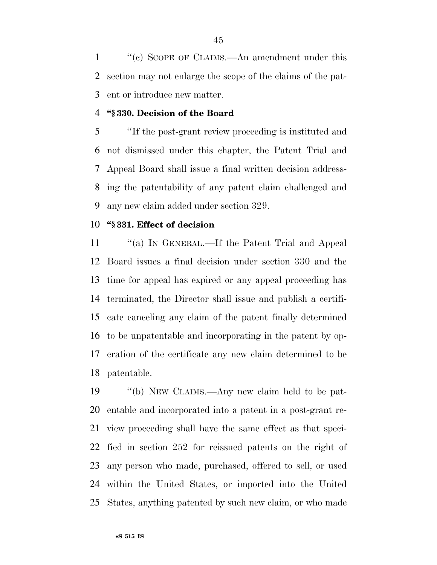''(c) SCOPE OF CLAIMS.—An amendment under this section may not enlarge the scope of the claims of the pat-ent or introduce new matter.

#### **''§ 330. Decision of the Board**

 ''If the post-grant review proceeding is instituted and not dismissed under this chapter, the Patent Trial and Appeal Board shall issue a final written decision address- ing the patentability of any patent claim challenged and any new claim added under section 329.

# **''§ 331. Effect of decision**

11 "(a) In GENERAL.—If the Patent Trial and Appeal Board issues a final decision under section 330 and the time for appeal has expired or any appeal proceeding has terminated, the Director shall issue and publish a certifi- cate canceling any claim of the patent finally determined to be unpatentable and incorporating in the patent by op- eration of the certificate any new claim determined to be patentable.

 ''(b) NEW CLAIMS.—Any new claim held to be pat- entable and incorporated into a patent in a post-grant re- view proceeding shall have the same effect as that speci- fied in section 252 for reissued patents on the right of any person who made, purchased, offered to sell, or used within the United States, or imported into the United States, anything patented by such new claim, or who made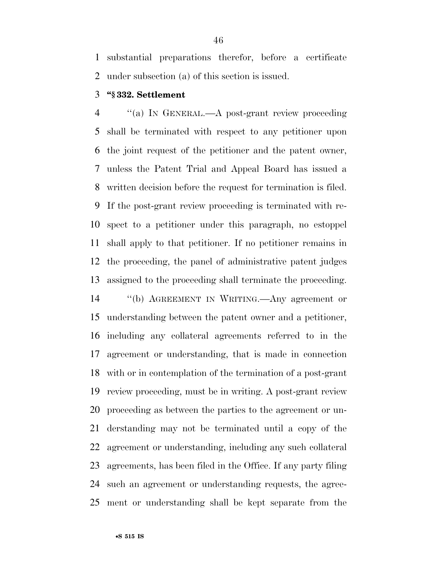substantial preparations therefor, before a certificate under subsection (a) of this section is issued.

### **''§ 332. Settlement**

 ''(a) IN GENERAL.—A post-grant review proceeding shall be terminated with respect to any petitioner upon the joint request of the petitioner and the patent owner, unless the Patent Trial and Appeal Board has issued a written decision before the request for termination is filed. If the post-grant review proceeding is terminated with re- spect to a petitioner under this paragraph, no estoppel shall apply to that petitioner. If no petitioner remains in the proceeding, the panel of administrative patent judges assigned to the proceeding shall terminate the proceeding.

 ''(b) AGREEMENT IN WRITING.—Any agreement or understanding between the patent owner and a petitioner, including any collateral agreements referred to in the agreement or understanding, that is made in connection with or in contemplation of the termination of a post-grant review proceeding, must be in writing. A post-grant review proceeding as between the parties to the agreement or un- derstanding may not be terminated until a copy of the agreement or understanding, including any such collateral agreements, has been filed in the Office. If any party filing such an agreement or understanding requests, the agree-ment or understanding shall be kept separate from the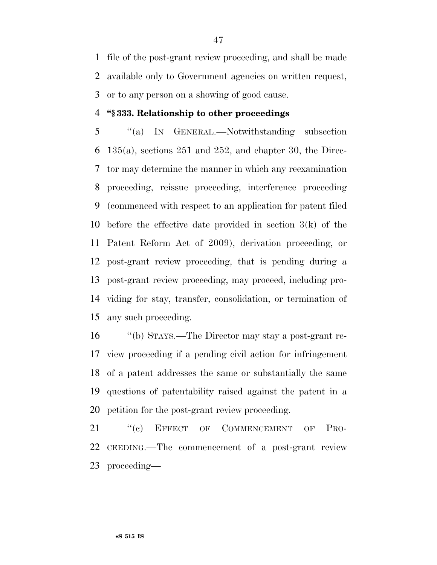file of the post-grant review proceeding, and shall be made available only to Government agencies on written request, or to any person on a showing of good cause.

#### **''§ 333. Relationship to other proceedings**

 ''(a) IN GENERAL.—Notwithstanding subsection 135(a), sections 251 and 252, and chapter 30, the Direc- tor may determine the manner in which any reexamination proceeding, reissue proceeding, interference proceeding (commenced with respect to an application for patent filed before the effective date provided in section 3(k) of the Patent Reform Act of 2009), derivation proceeding, or post-grant review proceeding, that is pending during a post-grant review proceeding, may proceed, including pro- viding for stay, transfer, consolidation, or termination of any such proceeding.

 ''(b) STAYS.—The Director may stay a post-grant re- view proceeding if a pending civil action for infringement of a patent addresses the same or substantially the same questions of patentability raised against the patent in a petition for the post-grant review proceeding.

21 "(c) EFFECT OF COMMENCEMENT OF PRO- CEEDING.—The commencement of a post-grant review proceeding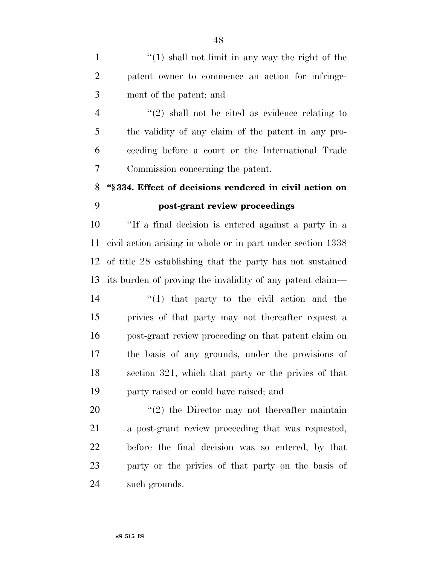1  $\frac{1}{1}$   $\frac{1}{2}$   $\frac{1}{2}$  shall not limit in any way the right of the patent owner to commence an action for infringe-ment of the patent; and

 $\frac{4}{2}$  ''(2) shall not be cited as evidence relating to the validity of any claim of the patent in any pro- ceeding before a court or the International Trade Commission concerning the patent.

# **''§ 334. Effect of decisions rendered in civil action on post-grant review proceedings**

 ''If a final decision is entered against a party in a civil action arising in whole or in part under section 1338 of title 28 establishing that the party has not sustained its burden of proving the invalidity of any patent claim— 14 ''(1) that party to the civil action and the privies of that party may not thereafter request a post-grant review proceeding on that patent claim on the basis of any grounds, under the provisions of section 321, which that party or the privies of that party raised or could have raised; and

 ''(2) the Director may not thereafter maintain a post-grant review proceeding that was requested, before the final decision was so entered, by that party or the privies of that party on the basis of such grounds.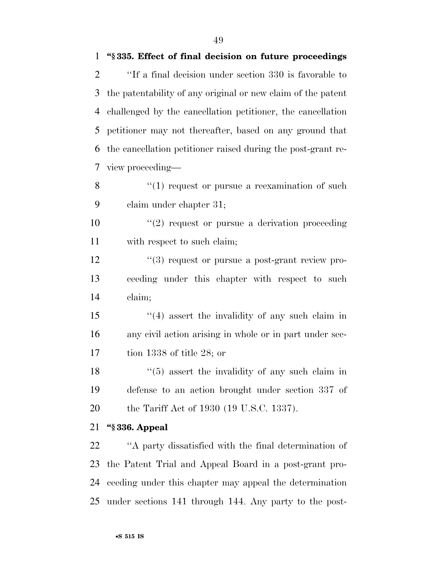''If a final decision under section 330 is favorable to the patentability of any original or new claim of the patent challenged by the cancellation petitioner, the cancellation petitioner may not thereafter, based on any ground that the cancellation petitioner raised during the post-grant re-view proceeding—

8  $\frac{u}{1}$  request or pursue a reexamination of such claim under chapter 31;

10  $\frac{1}{2}$  request or pursue a derivation proceeding 11 with respect to such claim;

12  $\frac{u(3)}{2}$  request or pursue a post-grant review pro- ceeding under this chapter with respect to such claim;

 ''(4) assert the invalidity of any such claim in any civil action arising in whole or in part under sec-tion 1338 of title 28; or

18 ''(5) assert the invalidity of any such claim in defense to an action brought under section 337 of the Tariff Act of 1930 (19 U.S.C. 1337).

# **''§ 336. Appeal**

 ''A party dissatisfied with the final determination of the Patent Trial and Appeal Board in a post-grant pro- ceeding under this chapter may appeal the determination under sections 141 through 144. Any party to the post-

**''§ 335. Effect of final decision on future proceedings**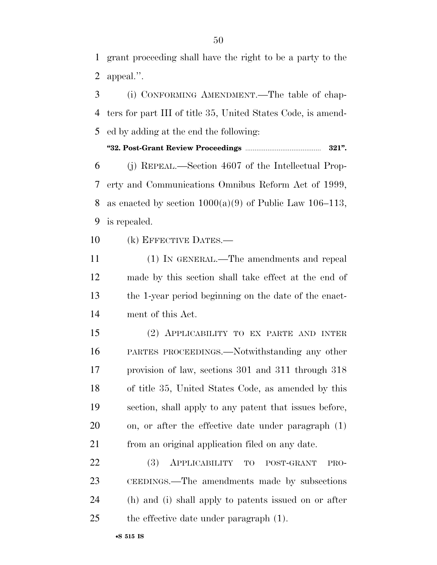grant proceeding shall have the right to be a party to the appeal.''.

 (i) CONFORMING AMENDMENT.—The table of chap- ters for part III of title 35, United States Code, is amend-ed by adding at the end the following:

**''32. Post-Grant Review Proceedings** ......................................... **321''.** 

 (j) REPEAL.—Section 4607 of the Intellectual Prop- erty and Communications Omnibus Reform Act of 1999, 8 as enacted by section  $1000(a)(9)$  of Public Law  $106-113$ , is repealed.

(k) EFFECTIVE DATES.—

 (1) IN GENERAL.—The amendments and repeal made by this section shall take effect at the end of the 1-year period beginning on the date of the enact-ment of this Act.

 (2) APPLICABILITY TO EX PARTE AND INTER PARTES PROCEEDINGS.—Notwithstanding any other provision of law, sections 301 and 311 through 318 of title 35, United States Code, as amended by this section, shall apply to any patent that issues before, on, or after the effective date under paragraph (1) from an original application filed on any date.

 (3) APPLICABILITY TO POST-GRANT PRO- CEEDINGS.—The amendments made by subsections (h) and (i) shall apply to patents issued on or after the effective date under paragraph (1).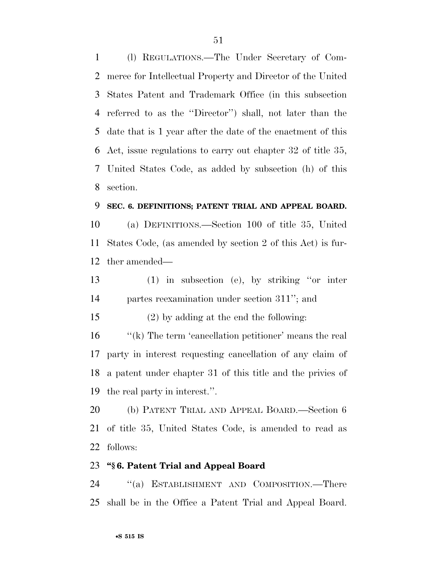(l) REGULATIONS.—The Under Secretary of Com- merce for Intellectual Property and Director of the United States Patent and Trademark Office (in this subsection referred to as the ''Director'') shall, not later than the date that is 1 year after the date of the enactment of this Act, issue regulations to carry out chapter 32 of title 35, United States Code, as added by subsection (h) of this section.

#### **SEC. 6. DEFINITIONS; PATENT TRIAL AND APPEAL BOARD.**

 (a) DEFINITIONS.—Section 100 of title 35, United States Code, (as amended by section 2 of this Act) is fur-ther amended—

 (1) in subsection (e), by striking ''or inter partes reexamination under section 311''; and

(2) by adding at the end the following:

16 "(k) The term 'cancellation petitioner' means the real party in interest requesting cancellation of any claim of a patent under chapter 31 of this title and the privies of the real party in interest.''.

 (b) PATENT TRIAL AND APPEAL BOARD.—Section 6 of title 35, United States Code, is amended to read as follows:

#### **''§ 6. Patent Trial and Appeal Board**

 ''(a) ESTABLISHMENT AND COMPOSITION.—There shall be in the Office a Patent Trial and Appeal Board.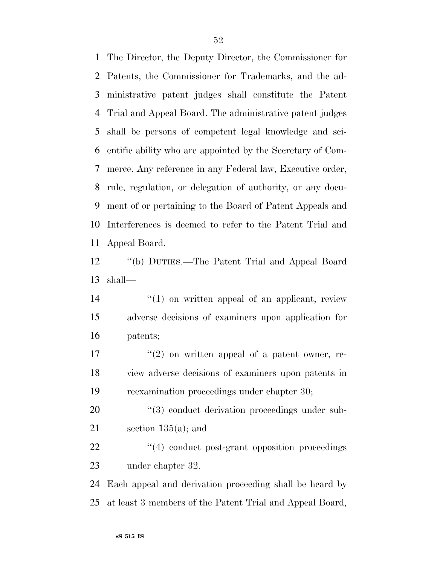The Director, the Deputy Director, the Commissioner for Patents, the Commissioner for Trademarks, and the ad- ministrative patent judges shall constitute the Patent Trial and Appeal Board. The administrative patent judges shall be persons of competent legal knowledge and sci- entific ability who are appointed by the Secretary of Com- merce. Any reference in any Federal law, Executive order, rule, regulation, or delegation of authority, or any docu- ment of or pertaining to the Board of Patent Appeals and Interferences is deemed to refer to the Patent Trial and Appeal Board.

 ''(b) DUTIES.—The Patent Trial and Appeal Board shall—

14  $\frac{1}{2}$  (1) on written appeal of an applicant, review adverse decisions of examiners upon application for patents;

 $\frac{17}{2}$  ''(2) on written appeal of a patent owner, re- view adverse decisions of examiners upon patents in reexamination proceedings under chapter 30;

20  $(3)$  conduct derivation proceedings under sub-21 section  $135(a)$ ; and

22  $\frac{4}{4}$  conduct post-grant opposition proceedings under chapter 32.

 Each appeal and derivation proceeding shall be heard by at least 3 members of the Patent Trial and Appeal Board,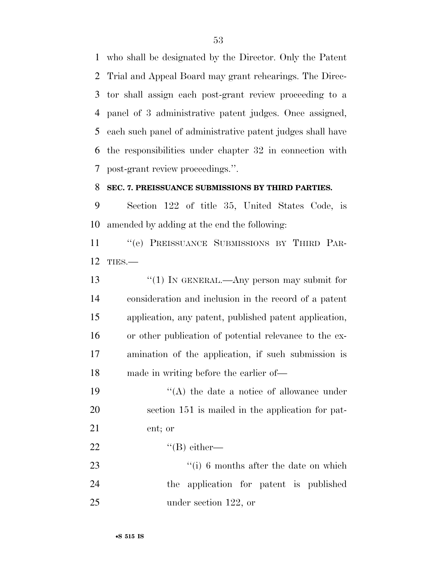who shall be designated by the Director. Only the Patent Trial and Appeal Board may grant rehearings. The Direc- tor shall assign each post-grant review proceeding to a panel of 3 administrative patent judges. Once assigned, each such panel of administrative patent judges shall have the responsibilities under chapter 32 in connection with post-grant review proceedings.''.

# **SEC. 7. PREISSUANCE SUBMISSIONS BY THIRD PARTIES.**

 Section 122 of title 35, United States Code, is amended by adding at the end the following:

 ''(e) PREISSUANCE SUBMISSIONS BY THIRD PAR-TIES.—

13 "(1) IN GENERAL.—Any person may submit for consideration and inclusion in the record of a patent application, any patent, published patent application, or other publication of potential relevance to the ex- amination of the application, if such submission is made in writing before the earlier of—

19 ''(A) the date a notice of allowance under section 151 is mailed in the application for pat-ent; or

 $^{(1)}$   $^{(1)}$  either—

23 ''(i) 6 months after the date on which the application for patent is published under section 122, or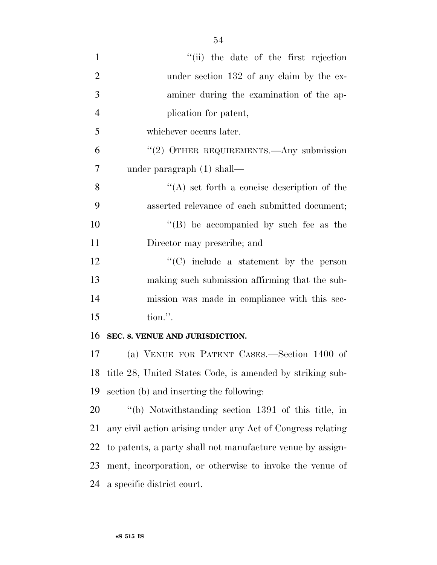| $\mathbf{1}$   | "(ii) the date of the first rejection                       |
|----------------|-------------------------------------------------------------|
| $\overline{2}$ | under section 132 of any claim by the ex-                   |
| 3              | aminer during the examination of the ap-                    |
| $\overline{4}$ | plication for patent,                                       |
| 5              | whichever occurs later.                                     |
| 6              | " $(2)$ OTHER REQUIREMENTS.—Any submission                  |
| $\overline{7}$ | under paragraph $(1)$ shall—                                |
| 8              | $\lq\lq$ set forth a concise description of the             |
| 9              | asserted relevance of each submitted document;              |
| 10             | $\lq\lq$ be accompanied by such fee as the                  |
| 11             | Director may prescribe; and                                 |
| 12             | $\lq\lq$ include a statement by the person                  |
| 13             | making such submission affirming that the sub-              |
| 14             | mission was made in compliance with this sec-               |
| 15             | tion.".                                                     |
| 16             | SEC. 8. VENUE AND JURISDICTION.                             |
| 17             | (a) VENUE FOR PATENT CASES.—Section 1400 of                 |
| 18             | title 28, United States Code, is amended by striking sub-   |
| 19             | section (b) and inserting the following:                    |
| 20             | "(b) Notwithstanding section 1391 of this title, in         |
| 21             | any civil action arising under any Act of Congress relating |
| 22             | to patents, a party shall not manufacture venue by assign-  |
| 23             | ment, incorporation, or otherwise to invoke the venue of    |
| 24             | a specific district court.                                  |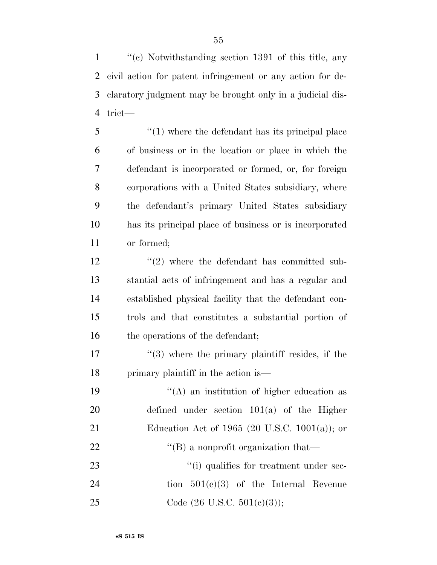''(c) Notwithstanding section 1391 of this title, any civil action for patent infringement or any action for de- claratory judgment may be brought only in a judicial dis-4 trict—

5 ''(1) where the defendant has its principal place of business or in the location or place in which the defendant is incorporated or formed, or, for foreign corporations with a United States subsidiary, where the defendant's primary United States subsidiary has its principal place of business or is incorporated or formed;

 $'$ (2) where the defendant has committed sub-13 stantial acts of infringement and has a regular and 14 established physical facility that the defendant con-15 trols and that constitutes a substantial portion of 16 the operations of the defendant;

 $\frac{17}{2}$  ''(3) where the primary plaintiff resides, if the 18 primary plaintiff in the action is—

19  $"({\rm A})$  an institution of higher education as 20 defined under section 101(a) of the Higher 21 Education Act of 1965 (20 U.S.C. 1001(a)); or 22 ''(B) a nonprofit organization that— 23  $\frac{1}{2}$  (i) qualifies for treatment under sec-24 tion 501(c)(3) of the Internal Revenue 25 Code  $(26 \text{ U.S.C. } 501 \text{ (e)}(3));$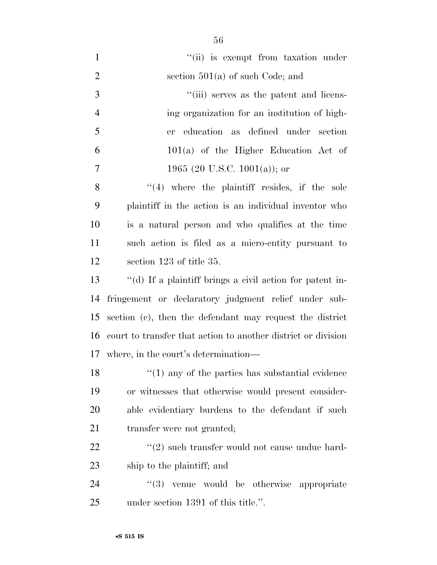| $\mathbf{1}$   | "(ii) is exempt from taxation under                      |
|----------------|----------------------------------------------------------|
| $\overline{2}$ | section $501(a)$ of such Code; and                       |
| 3              | "(iii) serves as the patent and licens-                  |
| $\overline{4}$ | ing organization for an institution of high-             |
| 5              | er education as defined under section                    |
| 6              | $101(a)$ of the Higher Education Act of                  |
| $\overline{7}$ | 1965 (20 U.S.C. 1001(a)); or                             |
| 8              | $(4)$ where the plaintiff resides, if the sole           |
| 9              | plaintiff in the action is an individual inventor who    |
| 10             | is a natural person and who qualifies at the time        |
| 11             | such action is filed as a micro-entity pursuant to       |
| 12             | section 123 of title 35.                                 |
| 13             | "(d) If a plaintiff brings a civil action for patent in- |
| 14             | fringement or declaratory judgment relief under sub-     |
| 15             | section (c), then the defendant may request the district |
|                |                                                          |

where, in the court's determination—

18 ''(1) any of the parties has substantial evidence or witnesses that otherwise would present consider- able evidentiary burdens to the defendant if such transfer were not granted;

court to transfer that action to another district or division

22 ''(2) such transfer would not cause undue hard-ship to the plaintiff; and

24  $(3)$  venue would be otherwise appropriate under section 1391 of this title.''.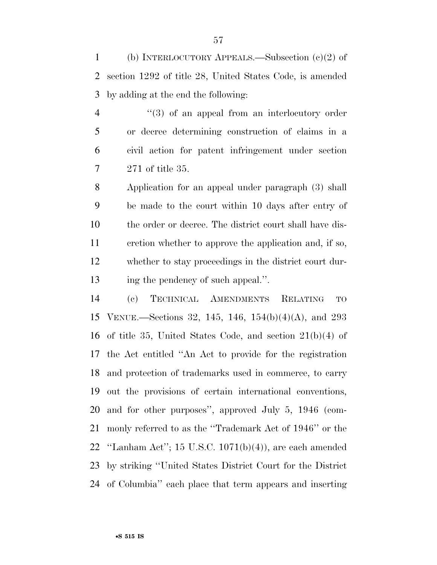(b) INTERLOCUTORY APPEALS.—Subsection (c)(2) of section 1292 of title 28, United States Code, is amended by adding at the end the following:

4 ''(3) of an appeal from an interlocutory order or decree determining construction of claims in a civil action for patent infringement under section 271 of title 35.

 Application for an appeal under paragraph (3) shall be made to the court within 10 days after entry of the order or decree. The district court shall have dis- cretion whether to approve the application and, if so, whether to stay proceedings in the district court dur-ing the pendency of such appeal.''.

 (c) TECHNICAL AMENDMENTS RELATING TO VENUE.—Sections 32, 145, 146, 154(b)(4)(A), and 293 of title 35, United States Code, and section 21(b)(4) of the Act entitled ''An Act to provide for the registration and protection of trademarks used in commerce, to carry out the provisions of certain international conventions, and for other purposes'', approved July 5, 1946 (com- monly referred to as the ''Trademark Act of 1946'' or the ''Lanham Act''; 15 U.S.C. 1071(b)(4)), are each amended by striking ''United States District Court for the District of Columbia'' each place that term appears and inserting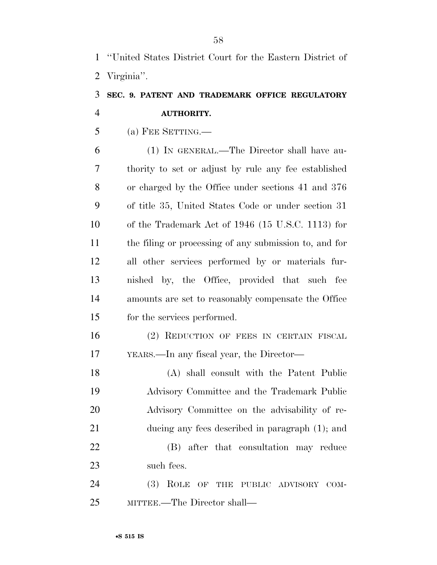''United States District Court for the Eastern District of Virginia''.

# **SEC. 9. PATENT AND TRADEMARK OFFICE REGULATORY AUTHORITY.**

(a) FEE SETTING.—

 (1) IN GENERAL.—The Director shall have au- thority to set or adjust by rule any fee established or charged by the Office under sections 41 and 376 of title 35, United States Code or under section 31 of the Trademark Act of 1946 (15 U.S.C. 1113) for the filing or processing of any submission to, and for all other services performed by or materials fur- nished by, the Office, provided that such fee amounts are set to reasonably compensate the Office for the services performed.

 (2) REDUCTION OF FEES IN CERTAIN FISCAL YEARS.—In any fiscal year, the Director—

 (A) shall consult with the Patent Public Advisory Committee and the Trademark Public Advisory Committee on the advisability of re- ducing any fees described in paragraph (1); and (B) after that consultation may reduce such fees.

 (3) ROLE OF THE PUBLIC ADVISORY COM-MITTEE.—The Director shall—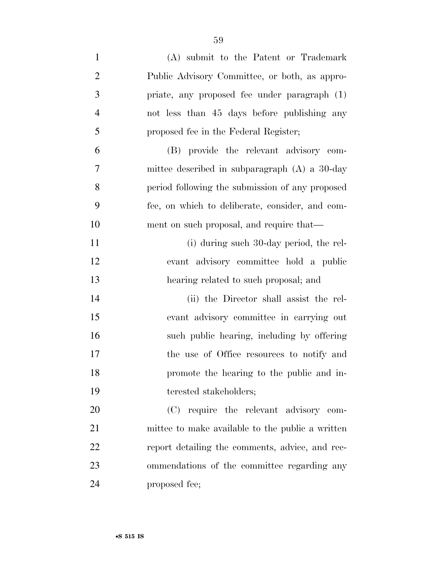| $\mathbf{1}$   | (A) submit to the Patent or Trademark            |
|----------------|--------------------------------------------------|
| $\overline{2}$ | Public Advisory Committee, or both, as appro-    |
| 3              | priate, any proposed fee under paragraph (1)     |
| $\overline{4}$ | not less than 45 days before publishing any      |
| 5              | proposed fee in the Federal Register;            |
| 6              | (B) provide the relevant advisory com-           |
| $\overline{7}$ | mittee described in subparagraph $(A)$ a 30-day  |
| 8              | period following the submission of any proposed  |
| 9              | fee, on which to deliberate, consider, and com-  |
| 10             | ment on such proposal, and require that—         |
| 11             | (i) during such 30-day period, the rel-          |
| 12             | evant advisory committee hold a public           |
| 13             | hearing related to such proposal; and            |
| 14             | (ii) the Director shall assist the rel-          |
| 15             | evant advisory committee in carrying out         |
| 16             | such public hearing, including by offering       |
| 17             | the use of Office resources to notify and        |
| 18             | promote the hearing to the public and in-        |
|                |                                                  |
| 19             | terested stakeholders;                           |
| 20             | (C) require the relevant advisory com-           |
| 21             | mittee to make available to the public a written |
| 22             | report detailing the comments, advice, and rec-  |
| 23             | ommendations of the committee regarding any      |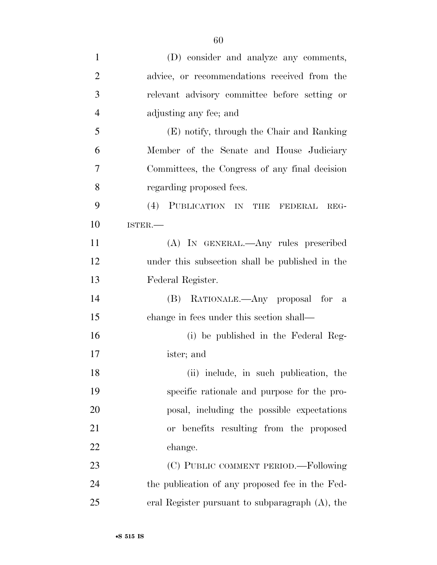| $\mathbf{1}$   | (D) consider and analyze any comments,          |
|----------------|-------------------------------------------------|
| $\overline{2}$ | advice, or recommendations received from the    |
| 3              | relevant advisory committee before setting or   |
| $\overline{4}$ | adjusting any fee; and                          |
| 5              | (E) notify, through the Chair and Ranking       |
| 6              | Member of the Senate and House Judiciary        |
| 7              | Committees, the Congress of any final decision  |
| 8              | regarding proposed fees.                        |
| 9              | (4) PUBLICATION IN THE FEDERAL<br>REG-          |
| 10             | ISTER.-                                         |
| 11             | (A) IN GENERAL.—Any rules prescribed            |
| 12             | under this subsection shall be published in the |
| 13             | Federal Register.                               |
| 14             | (B) RATIONALE.—Any proposal for a               |
| 15             | change in fees under this section shall—        |
| 16             | (i) be published in the Federal Reg-            |
| 17             | ister; and                                      |
| 18             | (ii) include, in such publication, the          |
| 19             | specific rationale and purpose for the pro-     |
| 20             | posal, including the possible expectations      |
| 21             | or benefits resulting from the proposed         |
| 22             | change.                                         |
| 23             | (C) PUBLIC COMMENT PERIOD.—Following            |
| 24             | the publication of any proposed fee in the Fed- |
| 25             | eral Register pursuant to subparagraph (A), the |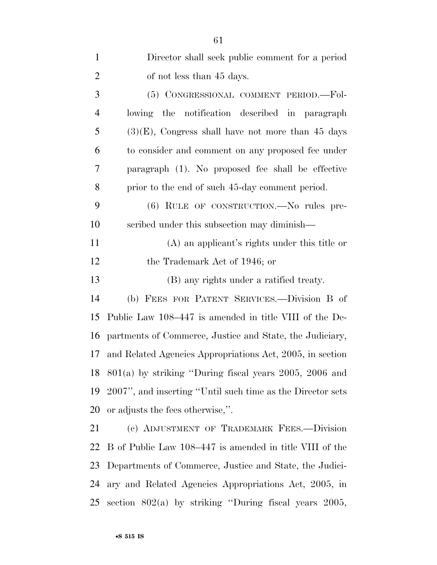| $\mathbf{1}$   | Director shall seek public comment for a period            |
|----------------|------------------------------------------------------------|
| $\overline{2}$ | of not less than 45 days.                                  |
| 3              | (5) CONGRESSIONAL COMMENT PERIOD.-Fol-                     |
| $\overline{4}$ | the notification described in paragraph<br>lowing          |
| 5              | $(3)(E)$ , Congress shall have not more than 45 days       |
| 6              | to consider and comment on any proposed fee under          |
| 7              | paragraph (1). No proposed fee shall be effective          |
| 8              | prior to the end of such 45-day comment period.            |
| 9              | (6) RULE OF CONSTRUCTION.—No rules pre-                    |
| 10             | scribed under this subsection may diminish—                |
| 11             | (A) an applicant's rights under this title or              |
| 12             | the Trademark Act of 1946; or                              |
| 13             | (B) any rights under a ratified treaty.                    |
| 14             | (b) FEES FOR PATENT SERVICES.—Division B of                |
| 15             | Public Law 108–447 is amended in title VIII of the De-     |
| 16             | partments of Commerce, Justice and State, the Judiciary,   |
| 17             | and Related Agencies Appropriations Act, 2005, in section  |
| 18             | $801(a)$ by striking "During fiscal years 2005, 2006 and   |
| 19             | 2007", and inserting "Until such time as the Director sets |
| 20             | or adjusts the fees otherwise,".                           |
| 21             | (c) ADJUSTMENT OF TRADEMARK FEES.-Division                 |
| 22             | B of Public Law 108–447 is amended in title VIII of the    |
| 23             | Departments of Commerce, Justice and State, the Judici-    |
| 24             | ary and Related Agencies Appropriations Act, 2005, in      |
| 25             | section $802(a)$ by striking "During fiscal years $2005$ , |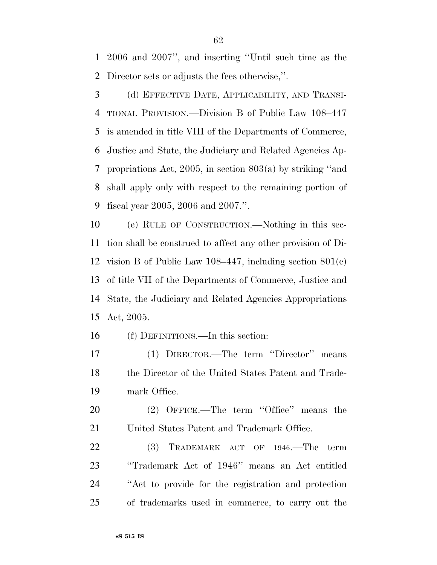2006 and 2007'', and inserting ''Until such time as the Director sets or adjusts the fees otherwise,''.

 (d) EFFECTIVE DATE, APPLICABILITY, AND TRANSI- TIONAL PROVISION.—Division B of Public Law 108–447 is amended in title VIII of the Departments of Commerce, Justice and State, the Judiciary and Related Agencies Ap- propriations Act, 2005, in section 803(a) by striking ''and shall apply only with respect to the remaining portion of fiscal year 2005, 2006 and 2007.''.

 (e) RULE OF CONSTRUCTION.—Nothing in this sec- tion shall be construed to affect any other provision of Di- vision B of Public Law 108–447, including section 801(c) of title VII of the Departments of Commerce, Justice and State, the Judiciary and Related Agencies Appropriations Act, 2005.

(f) DEFINITIONS.—In this section:

 (1) DIRECTOR.—The term ''Director'' means the Director of the United States Patent and Trade-mark Office.

20 (2) OFFICE.—The term "Office" means the United States Patent and Trademark Office.

22 (3) TRADEMARK ACT OF 1946.—The term ''Trademark Act of 1946'' means an Act entitled ''Act to provide for the registration and protection of trademarks used in commerce, to carry out the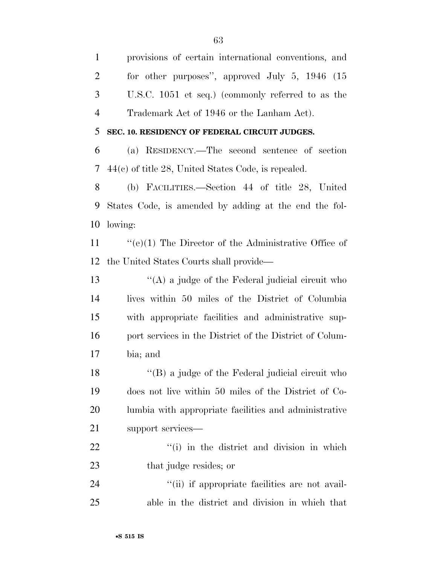provisions of certain international conventions, and for other purposes'', approved July 5, 1946 (15 U.S.C. 1051 et seq.) (commonly referred to as the Trademark Act of 1946 or the Lanham Act).

**SEC. 10. RESIDENCY OF FEDERAL CIRCUIT JUDGES.** 

 (a) RESIDENCY.—The second sentence of section 44(c) of title 28, United States Code, is repealed.

 (b) FACILITIES.—Section 44 of title 28, United States Code, is amended by adding at the end the fol-lowing:

 ''(e)(1) The Director of the Administrative Office of the United States Courts shall provide—

 $\langle (A)$  a judge of the Federal judicial circuit who lives within 50 miles of the District of Columbia with appropriate facilities and administrative sup-16 port services in the District of the District of Colum-bia; and

18 ''(B) a judge of the Federal judicial circuit who does not live within 50 miles of the District of Co- lumbia with appropriate facilities and administrative support services—

22  $\frac{1}{1}$  in the district and division in which 23 that judge resides; or

24  $(ii)$  if appropriate facilities are not avail-able in the district and division in which that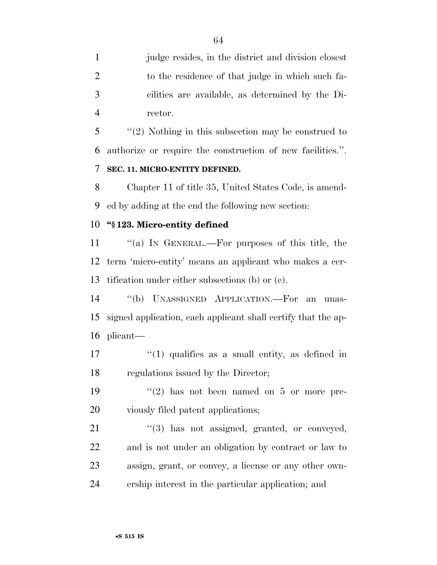judge resides, in the district and division closest to the residence of that judge in which such fa- cilities are available, as determined by the Di-rector.

 ''(2) Nothing in this subsection may be construed to authorize or require the construction of new facilities.''. **SEC. 11. MICRO-ENTITY DEFINED.** 

 Chapter 11 of title 35, United States Code, is amend-ed by adding at the end the following new section:

#### **''§ 123. Micro-entity defined**

 ''(a) IN GENERAL.—For purposes of this title, the term 'micro-entity' means an applicant who makes a cer-tification under either subsections (b) or (c).

 ''(b) UNASSIGNED APPLICATION.—For an unas- signed application, each applicant shall certify that the ap-plicant—

17  $\frac{1}{2}$  (1) qualifies as a small entity, as defined in regulations issued by the Director;

19  $(2)$  has not been named on 5 or more pre-viously filed patent applications;

21 "(3) has not assigned, granted, or conveyed, and is not under an obligation by contract or law to assign, grant, or convey, a license or any other own-ership interest in the particular application; and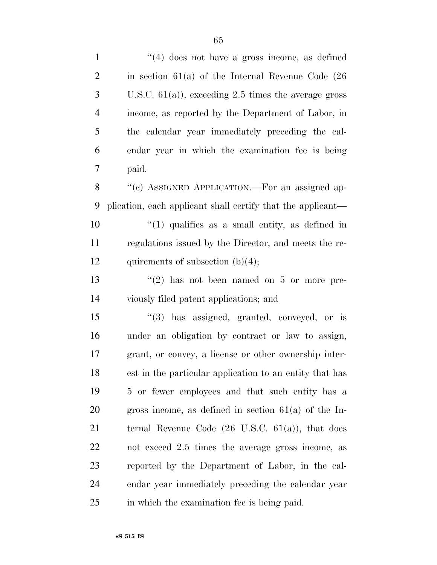| $\mathbf{1}$   | $\lq(4)$ does not have a gross income, as defined            |
|----------------|--------------------------------------------------------------|
| $\overline{2}$ | in section $61(a)$ of the Internal Revenue Code $(26)$       |
| 3              | U.S.C. $61(a)$ , exceeding 2.5 times the average gross       |
| 4              | income, as reported by the Department of Labor, in           |
| 5              | the calendar year immediately preceding the cal-             |
| 6              | endar year in which the examination fee is being             |
| $\overline{7}$ | paid.                                                        |
| 8              | "(c) ASSIGNED APPLICATION.—For an assigned ap-               |
| 9              | plication, each applicant shall certify that the applicant—  |
| 10             | $\lq(1)$ qualifies as a small entity, as defined in          |
| 11             | regulations issued by the Director, and meets the re-        |
| 12             | quirements of subsection $(b)(4)$ ;                          |
| 13             | $\lq(2)$ has not been named on 5 or more pre-                |
| 14             | viously filed patent applications; and                       |
| 15             | "(3) has assigned, granted, conveyed, or is                  |
| 16             | under an obligation by contract or law to assign,            |
| 17             | grant, or convey, a license or other ownership inter-        |
| 18             | est in the particular application to an entity that has      |
| 19             | 5 or fewer employees and that such entity has a              |
| 20             | gross income, as defined in section $61(a)$ of the In-       |
| 21             | ternal Revenue Code $(26 \text{ U.S.C. } 61(a))$ , that does |
| 22             | not exceed 2.5 times the average gross income, as            |
| 23             | reported by the Department of Labor, in the cal-             |
| 24             | endar year immediately preceding the calendar year           |
| 25             | in which the examination fee is being paid.                  |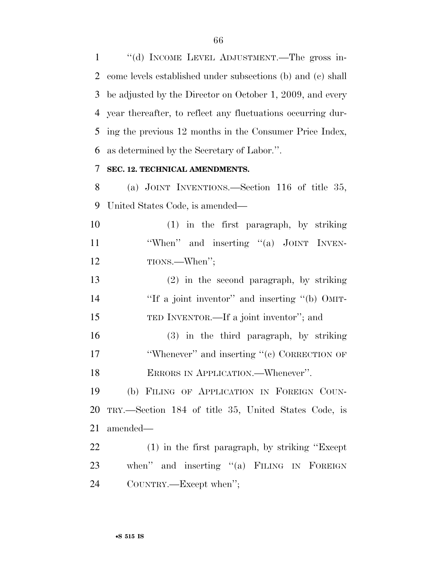''(d) INCOME LEVEL ADJUSTMENT.—The gross in- come levels established under subsections (b) and (c) shall be adjusted by the Director on October 1, 2009, and every year thereafter, to reflect any fluctuations occurring dur- ing the previous 12 months in the Consumer Price Index, as determined by the Secretary of Labor.''.

#### **SEC. 12. TECHNICAL AMENDMENTS.**

 (a) JOINT INVENTIONS.—Section 116 of title 35, United States Code, is amended—

 (1) in the first paragraph, by striking 11 ''When'' and inserting "(a) JOINT INVEN-12 TIONS.—When";

 (2) in the second paragraph, by striking 14 "If a joint inventor" and inserting "(b) OMIT-TED INVENTOR.—If a joint inventor''; and

 (3) in the third paragraph, by striking 17 'Whenever'' and inserting "(c) CORRECTION OF ERRORS IN APPLICATION.—Whenever''.

 (b) FILING OF APPLICATION IN FOREIGN COUN- TRY.—Section 184 of title 35, United States Code, is amended—

 (1) in the first paragraph, by striking ''Except 23 when" and inserting "(a) FILING IN FOREIGN COUNTRY.—Except when'';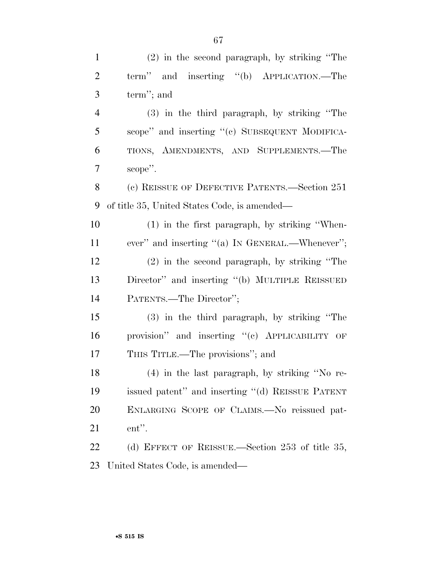| $\mathbf{1}$   | $(2)$ in the second paragraph, by striking "The  |
|----------------|--------------------------------------------------|
| $\overline{2}$ | term" and inserting "(b) APPLICATION.—The        |
| 3              | term"; and                                       |
| $\overline{4}$ | (3) in the third paragraph, by striking "The     |
| 5              | scope" and inserting "(c) SUBSEQUENT MODIFICA-   |
| 6              | TIONS, AMENDMENTS, AND SUPPLEMENTS.-The          |
| 7              | scope".                                          |
| 8              | (c) REISSUE OF DEFECTIVE PATENTS.—Section 251    |
| 9              | of title 35, United States Code, is amended—     |
| 10             | $(1)$ in the first paragraph, by striking "When- |
| 11             | ever" and inserting "(a) IN GENERAL.—Whenever";  |
| 12             | $(2)$ in the second paragraph, by striking "The  |
| 13             | Director" and inserting "(b) MULTIPLE REISSUED   |
| 14             | PATENTS.—The Director";                          |
| 15             | (3) in the third paragraph, by striking "The     |
| 16             | provision" and inserting "(c) APPLICABILITY OF   |
| 17             | THIS TITLE.—The provisions"; and                 |
| 18             | $(4)$ in the last paragraph, by striking "No re- |
| 19             | issued patent" and inserting "(d) REISSUE PATENT |
| 20             | ENLARGING SCOPE OF CLAIMS.-No reissued pat-      |
| 21             | ent".                                            |
| 22             | (d) EFFECT OF REISSUE.—Section 253 of title 35,  |
| 23             | United States Code, is amended—                  |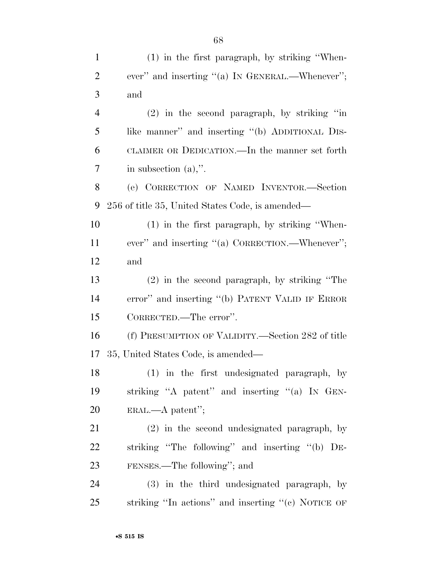| $\mathbf{1}$   | (1) in the first paragraph, by striking "When-        |
|----------------|-------------------------------------------------------|
| $\overline{2}$ | ever" and inserting "(a) IN GENERAL.—Whenever";       |
| 3              | and                                                   |
| $\overline{4}$ | $(2)$ in the second paragraph, by striking "in        |
| 5              | like manner" and inserting "(b) ADDITIONAL DIS-       |
| 6              | CLAIMER OR DEDICATION.—In the manner set forth        |
| 7              | in subsection $(a)$ ,".                               |
| 8              | (e) CORRECTION OF NAMED INVENTOR.-Section             |
| 9              | 256 of title 35, United States Code, is amended—      |
| 10             | $(1)$ in the first paragraph, by striking "When-      |
| 11             | ever" and inserting "(a) CORRECTION.—Whenever";       |
| 12             | and                                                   |
| 13             | $(2)$ in the second paragraph, by striking "The       |
| 14             | error" and inserting "(b) PATENT VALID IF ERROR       |
| 15             | CORRECTED.—The error".                                |
| 16             | (f) PRESUMPTION OF VALIDITY.—Section 282 of title     |
| 17             | 35, United States Code, is amended—                   |
| 18             | (1) in the first undesignated paragraph, by           |
| 19             | striking "A patent" and inserting "(a) IN GEN-        |
| <b>20</b>      | $ERAL. - A patent'';$                                 |
| 21             | (2) in the second undesignated paragraph, by          |
| 22             | striking "The following" and inserting "(b) DE-       |
| 23             | FENSES.—The following"; and                           |
| 24             | (3) in the third undesignated paragraph, by           |
| 25             | striking "In actions" and inserting " $(e)$ NOTICE OF |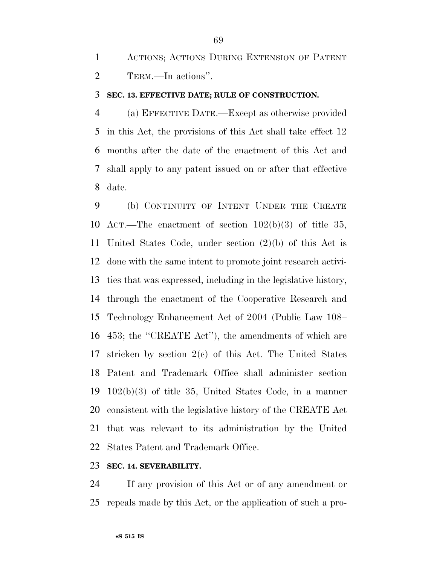ACTIONS; ACTIONS DURING EXTENSION OF PATENT TERM.—In actions''.

#### **SEC. 13. EFFECTIVE DATE; RULE OF CONSTRUCTION.**

 (a) EFFECTIVE DATE.—Except as otherwise provided in this Act, the provisions of this Act shall take effect 12 months after the date of the enactment of this Act and shall apply to any patent issued on or after that effective date.

 (b) CONTINUITY OF INTENT UNDER THE CREATE ACT.—The enactment of section 102(b)(3) of title 35, United States Code, under section (2)(b) of this Act is done with the same intent to promote joint research activi- ties that was expressed, including in the legislative history, through the enactment of the Cooperative Research and Technology Enhancement Act of 2004 (Public Law 108– 453; the ''CREATE Act''), the amendments of which are stricken by section 2(c) of this Act. The United States Patent and Trademark Office shall administer section 102(b)(3) of title 35, United States Code, in a manner consistent with the legislative history of the CREATE Act that was relevant to its administration by the United States Patent and Trademark Office.

#### **SEC. 14. SEVERABILITY.**

 If any provision of this Act or of any amendment or repeals made by this Act, or the application of such a pro